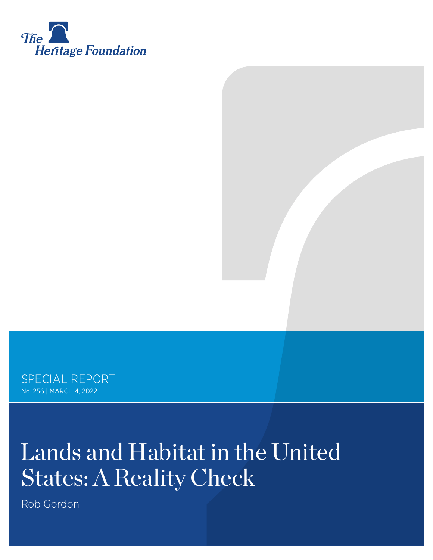

SPECIAL REPORT No. 256 | March 4, 2022

# Lands and Habitat in the United States: A Reality Check

Rob Gordon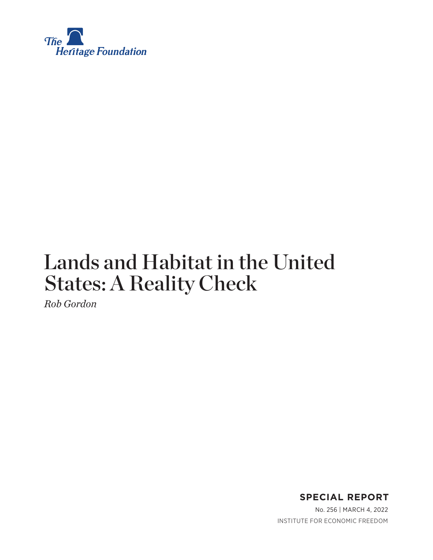

# Lands and Habitat in the United States: A Reality Check

*Rob Gordon*

**SPECIAL REPORT**

No. 256 | March 4, 2022 INSTITUTE FOR ECONOMIC FREEDOM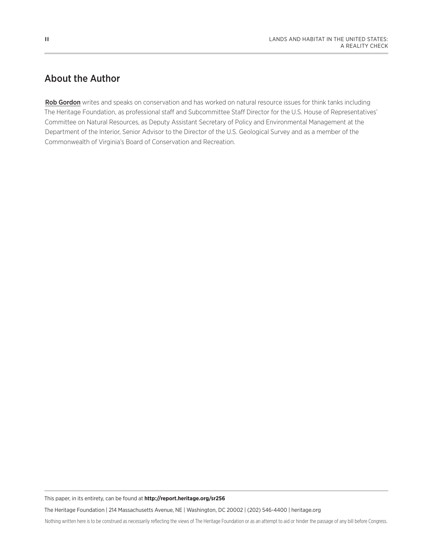# About the Author

Rob Gordon writes and speaks on conservation and has worked on natural resource issues for think tanks including The Heritage Foundation, as professional staff and Subcommittee Staff Director for the U.S. House of Representatives' Committee on Natural Resources, as Deputy Assistant Secretary of Policy and Environmental Management at the Department of the Interior, Senior Advisor to the Director of the U.S. Geological Survey and as a member of the Commonwealth of Virginia's Board of Conservation and Recreation.

This paper, in its entirety, can be found at **http://report.heritage.org/sr256**

The Heritage Foundation | 214 Massachusetts Avenue, NE | Washington, DC 20002 | (202) 546-4400 | heritage.org

Nothing written here is to be construed as necessarily reflecting the views of The Heritage Foundation or as an attempt to aid or hinder the passage of any bill before Congress.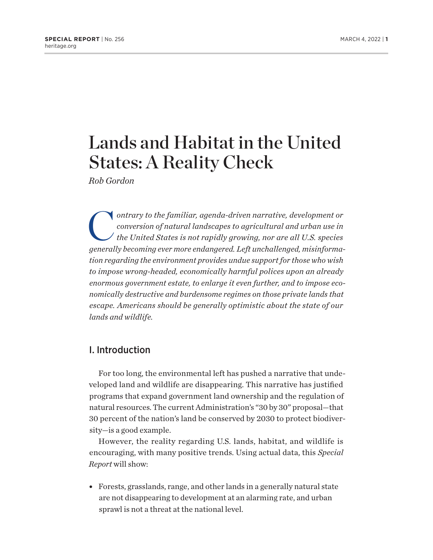# Lands and Habitat in the United States: A Reality Check

*Rob Gordon*

ontrary to the familiar, agenda-driven narrative, development or<br>conversion of natural landscapes to agricultural and urban use in<br>the United States is not rapidly growing, nor are all U.S. species *conversion of natural landscapes to agricultural and urban use in the United States is not rapidly growing, nor are all U.S. species generally becoming ever more endangered. Left unchallenged, misinformation regarding the environment provides undue support for those who wish to impose wrong-headed, economically harmful polices upon an already enormous government estate, to enlarge it even further, and to impose economically destructive and burdensome regimes on those private lands that escape. Americans should be generally optimistic about the state of our lands and wildlife.*

# I. Introduction

For too long, the environmental left has pushed a narrative that undeveloped land and wildlife are disappearing. This narrative has justified programs that expand government land ownership and the regulation of natural resources. The current Administration's "30 by 30" proposal—that 30 percent of the nation's land be conserved by 2030 to protect biodiversity—is a good example.

However, the reality regarding U.S. lands, habitat, and wildlife is encouraging, with many positive trends. Using actual data, this *Special Report* will show:

• Forests, grasslands, range, and other lands in a generally natural state are not disappearing to development at an alarming rate, and urban sprawl is not a threat at the national level.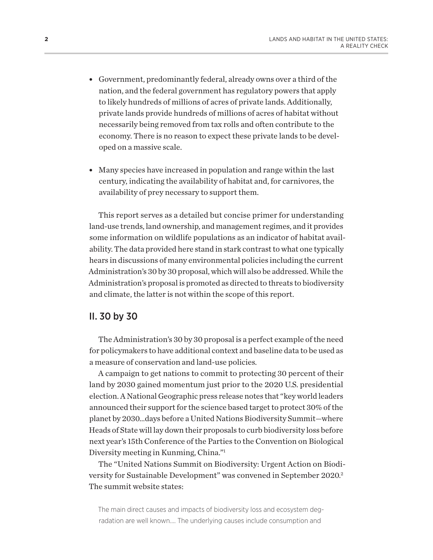- <span id="page-4-0"></span>• Government, predominantly federal, already owns over a third of the nation, and the federal government has regulatory powers that apply to likely hundreds of millions of acres of private lands. Additionally, private lands provide hundreds of millions of acres of habitat without necessarily being removed from tax rolls and often contribute to the economy. There is no reason to expect these private lands to be developed on a massive scale.
- Many species have increased in population and range within the last century, indicating the availability of habitat and, for carnivores, the availability of prey necessary to support them.

This report serves as a detailed but concise primer for understanding land-use trends, land ownership, and management regimes, and it provides some information on wildlife populations as an indicator of habitat availability. The data provided here stand in stark contrast to what one typically hears in discussions of many environmental policies including the current Administration's 30 by 30 proposal, which will also be addressed. While the Administration's proposal is promoted as directed to threats to biodiversity and climate, the latter is not within the scope of this report.

# II. 30 by 30

The Administration's 30 by 30 proposal is a perfect example of the need for policymakers to have additional context and baseline data to be used as a measure of conservation and land-use policies.

A campaign to get nations to commit to protecting 30 percent of their land by 2030 gained momentum just prior to the 2020 U.S. presidential election. A National Geographic press release notes that "key world leaders announced their support for the science based target to protect 30% of the planet by 2030…days before a United Nations Biodiversity Summit—where Heads of State will lay down their proposals to curb biodiversity loss before next year's 15th Conference of the Parties to the Convention on Biological Diversity meeting in Kunming, China.["1](#page-44-0)

The "United Nations Summit on Biodiversity: Urgent Action on Biodiversity for Sustainable Development" was convened in September 2020[.2](#page-44-0) The summit website states:

The main direct causes and impacts of biodiversity loss and ecosystem degradation are well known…. The underlying causes include consumption and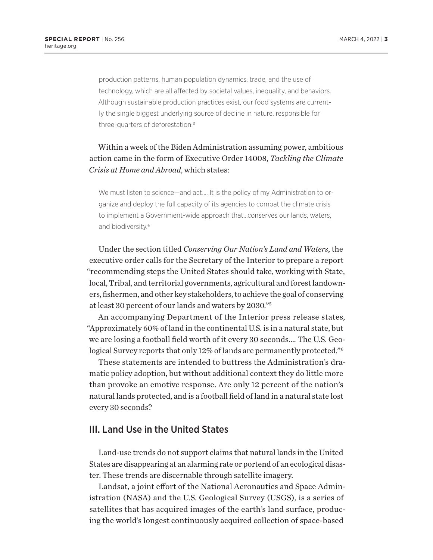<span id="page-5-0"></span>production patterns, human population dynamics, trade, and the use of technology, which are all affected by societal values, inequality, and behaviors. Although sustainable production practices exist, our food systems are currently the single biggest underlying source of decline in nature, responsible for three-quarters of deforestation.[3](#page-44-0)

# Within a week of the Biden Administration assuming power, ambitious action came in the form of Executive Order 14008, *Tackling the Climate Crisis at Home and Abroad*, which states:

We must listen to science—and act.... It is the policy of my Administration to organize and deploy the full capacity of its agencies to combat the climate crisis to implement a Government-wide approach that…conserves our lands, waters, and biodiversity.[4](#page-44-0)

Under the section titled *Conserving Our Nation's Land and Waters*, the executive order calls for the Secretary of the Interior to prepare a report "recommending steps the United States should take, working with State, local, Tribal, and territorial governments, agricultural and forest landowners, fishermen, and other key stakeholders, to achieve the goal of conserving at least 30 percent of our lands and waters by 2030."[5](#page-44-0)

An accompanying Department of the Interior press release states, "Approximately 60% of land in the continental U.S. is in a natural state, but we are losing a football field worth of it every 30 seconds.… The U.S. Geological Survey reports that only 12% of lands are permanently protected."[6](#page-44-0)

These statements are intended to buttress the Administration's dramatic policy adoption, but without additional context they do little more than provoke an emotive response. Are only 12 percent of the nation's natural lands protected, and is a football field of land in a natural state lost every 30 seconds?

# III. Land Use in the United States

Land-use trends do not support claims that natural lands in the United States are disappearing at an alarming rate or portend of an ecological disaster. These trends are discernable through satellite imagery.

Landsat, a joint effort of the National Aeronautics and Space Administration (NASA) and the U.S. Geological Survey (USGS), is a series of satellites that has acquired images of the earth's land surface, producing the world's longest continuously acquired collection of space-based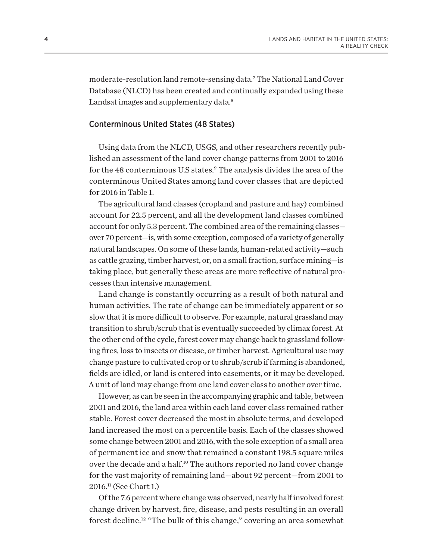<span id="page-6-0"></span>moderate-resolution land remote-sensing data.[7](#page-44-0) The National Land Cover Database (NLCD) has been created and continually expanded using these Landsat images and supplementary data.<sup>8</sup>

# Conterminous United States (48 States)

Using data from the NLCD, USGS, and other researchers recently published an assessment of the land cover change patterns from 2001 to 2016 for the 48 conterminous U.S states.<sup>[9](#page-44-0)</sup> The analysis divides the area of the conterminous United States among land cover classes that are depicted for 2016 in Table 1.

The agricultural land classes (cropland and pasture and hay) combined account for 22.5 percent, and all the development land classes combined account for only 5.3 percent. The combined area of the remaining classes over 70 percent—is, with some exception, composed of a variety of generally natural landscapes. On some of these lands, human-related activity—such as cattle grazing, timber harvest, or, on a small fraction, surface mining—is taking place, but generally these areas are more reflective of natural processes than intensive management.

Land change is constantly occurring as a result of both natural and human activities. The rate of change can be immediately apparent or so slow that it is more difficult to observe. For example, natural grassland may transition to shrub/scrub that is eventually succeeded by climax forest. At the other end of the cycle, forest cover may change back to grassland following fires, loss to insects or disease, or timber harvest. Agricultural use may change pasture to cultivated crop or to shrub/scrub if farming is abandoned, fields are idled, or land is entered into easements, or it may be developed. A unit of land may change from one land cover class to another over time.

However, as can be seen in the accompanying graphic and table, between 2001 and 2016, the land area within each land cover class remained rather stable. Forest cover decreased the most in absolute terms, and developed land increased the most on a percentile basis. Each of the classes showed some change between 2001 and 2016, with the sole exception of a small area of permanent ice and snow that remained a constant 198.5 square miles over the decade and a half[.10](#page-44-0) The authors reported no land cover change for the vast majority of remaining land—about 92 percent—from 2001 to 2016.[11](#page-44-0) (See Chart 1.)

Of the 7.6 percent where change was observed, nearly half involved forest change driven by harvest, fire, disease, and pests resulting in an overall forest decline.[12](#page-44-0) "The bulk of this change," covering an area somewhat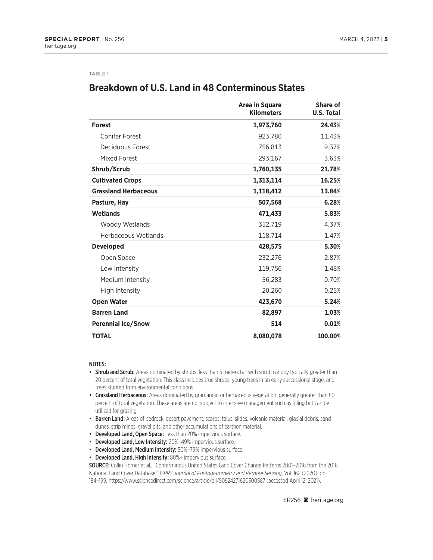#### TABLE 1

# **Breakdown of U.S. Land in 48 Conterminous States**

|                             | <b>Area in Square</b><br><b>Kilometers</b> | <b>Share of</b><br><b>U.S. Total</b> |
|-----------------------------|--------------------------------------------|--------------------------------------|
| <b>Forest</b>               | 1,973,760                                  | 24.43%                               |
| <b>Conifer Forest</b>       | 923,780                                    | 11.43%                               |
| Deciduous Forest            | 756,813                                    | 9.37%                                |
| <b>Mixed Forest</b>         | 293,167                                    | 3.63%                                |
| Shrub/Scrub                 | 1,760,135                                  | 21.78%                               |
| <b>Cultivated Crops</b>     | 1,313,114                                  | 16.25%                               |
| <b>Grassland Herbaceous</b> | 1,118,412                                  | 13.84%                               |
| Pasture, Hay                | 507,568                                    | 6.28%                                |
| <b>Wetlands</b>             | 471,433                                    | 5.83%                                |
| Woody Wetlands              | 352,719                                    | 4.37%                                |
| Herbaceous Wetlands         | 118,714                                    | 1.47%                                |
| <b>Developed</b>            | 428,575                                    | 5.30%                                |
| Open Space                  | 232,276                                    | 2.87%                                |
| Low Intensity               | 119,756                                    | 1.48%                                |
| Medium Intensity            | 56,283                                     | 0.70%                                |
| High Intensity              | 20,260                                     | 0.25%                                |
| <b>Open Water</b>           | 423,670                                    | 5.24%                                |
| <b>Barren Land</b>          | 82,897                                     | 1.03%                                |
| <b>Perennial Ice/Snow</b>   | 514                                        | 0.01%                                |
| <b>TOTAL</b>                | 8,080,078                                  | 100.00%                              |

#### NOTES:

- Shrub and Scrub: Areas dominated by shrubs, less than 5 meters tall with shrub canopy typically greater than 20 percent of total vegetation. This class includes true shrubs, young trees in an early successional stage, and trees stunted from environmental conditions.
- Grassland Herbaceous: Areas dominated by gramanoid or herbaceous vegetation, generally greater than 80 percent of total vegetation. These areas are not subject to intensive management such as tilling but can be utilized for grazing.
- Barren Land: Areas of bedrock, desert pavement, scarps, talus, slides, volcanic material, glacial debris, sand dunes, strip mines, gravel pits, and other accumulations of earthen material.
- Developed Land, Open Space: Less than 20% impervious surface.
- Developed Land, Low Intensity: 20%-49% impervious surface.
- Developed Land, Medium Intensity: 50%–79% impervious surface.
- Developed Land, High Intensity: 80%+ impervious surface.

SOURCE: Collin Homer et al., "Conterminous United States Land Cover Change Patterns 2001–2016 from the 2016 National Land Cover Database," *ISPRS Journal of Photogrammetry and Remote Sensing*, Vol. 162 (2020), pp. 184–199, https://www.sciencedirect.com/science/article/pii/S0924271620300587 (accessed April 12, 2021).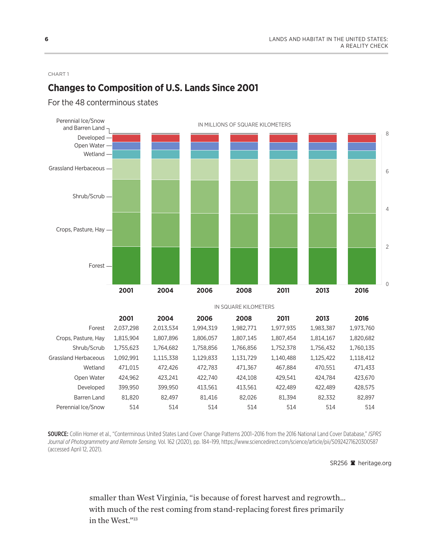8

#### <span id="page-8-0"></span>CHART 1

# **Changes to Composition of U.S. Lands Since 2001**

# Open Water Developed Perennial Ice/Snow and Barren Land  $\frac{1}{10}$

For the 48 conterminous states

0 2 4 6 Forest Crops, Pasture, Hay Shrub/Scrub Grassland Herbaceous Forest Crops, Pasture, Hay Shrub/Scrub Grassland Herbaceous Wetland Open Water Developed Barren Land Perennial Ice/Snow 2,037,298 1,815,904 1,755,623 1,092,991 471,015 424,962 399,950 81,820 514 2,013,534 1,807,896 1,764,682 1,115,338 472,426 423,241 399,950 82,497 514 1,994,319 1,806,057 1,758,856 1,129,833 472,783 422,740 413,561 81,416 514 1,982,771 1,807,145 1,766,856 1,131,729 471,367 424,108 413,561 82,026 514 1,977,935 1,807,454 1,752,378 1,140,488 467,884 429,541 422,489 81,394 514 1,983,387 1,814,167 1,756,432 1,125,422 470,551 424,784 422,489 82,332 514 1,973,760 1,820,682 1,760,135 1,118,412 471,433 423,670 428,575 82,897 514 Wetland -IN SQUARE KILOMETERS **2001 2004 2006 2008 2011 2013 2016 2001 2004 2006 2008 2011 2013 2016**

SOURCE: Collin Homer et al., "Conterminous United States Land Cover Change Patterns 2001–2016 from the 2016 National Land Cover Database," *ISPRS Journal of Photogrammetry and Remote Sensing,* Vol. 162 (2020), pp. 184–199, https://www.sciencedirect.com/science/article/pii/S0924271620300587 (accessed April 12, 2021).

SR256 **a** heritage.org

smaller than West Virginia, "is because of forest harvest and regrowth… with much of the rest coming from stand-replacing forest fires primarily in the West.["13](#page-44-0)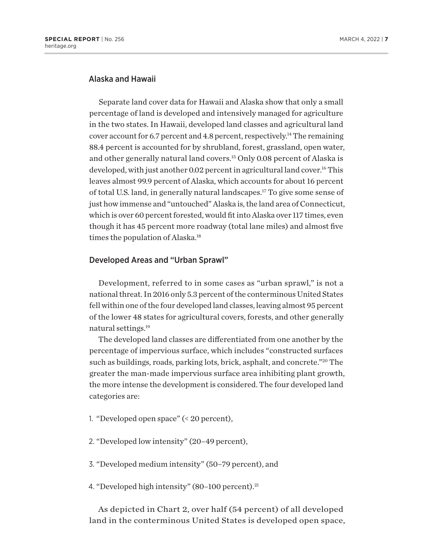# <span id="page-9-0"></span>Alaska and Hawaii

Separate land cover data for Hawaii and Alaska show that only a small percentage of land is developed and intensively managed for agriculture in the two states. In Hawaii, developed land classes and agricultural land cover account for 6.7 percent and 4.8 percent, respectively.<sup>14</sup> The remaining 88.4 percent is accounted for by shrubland, forest, grassland, open water, and other generally natural land covers[.15](#page-44-0) Only 0.08 percent of Alaska is developed, with just another 0.02 percent in agricultural land cover.<sup>16</sup> This leaves almost 99.9 percent of Alaska, which accounts for about 16 percent of total U.S. land, in generally natural landscapes.[17](#page-44-0) To give some sense of just how immense and "untouched" Alaska is, the land area of Connecticut, which is over 60 percent forested, would fit into Alaska over 117 times, even though it has 45 percent more roadway (total lane miles) and almost five times the population of Alaska.<sup>18</sup>

#### Developed Areas and "Urban Sprawl"

Development, referred to in some cases as "urban sprawl," is not a national threat. In 2016 only 5.3 percent of the conterminous United States fell within one of the four developed land classes, leaving almost 95 percent of the lower 48 states for agricultural covers, forests, and other generally natural settings.[19](#page-44-0)

The developed land classes are differentiated from one another by the percentage of impervious surface, which includes "constructed surfaces such as buildings, roads, parking lots, brick, asphalt, and concrete.["20](#page-44-0) The greater the man-made impervious surface area inhibiting plant growth, the more intense the development is considered. The four developed land categories are:

- 1. "Developed open space" (< 20 percent),
- 2. "Developed low intensity" (20–49 percent),
- 3. "Developed medium intensity" (50–79 percent), and
- 4. "Developed high intensity" (80-100 percent).<sup>[21](#page-44-0)</sup>

As depicted in Chart 2, over half (54 percent) of all developed land in the conterminous United States is developed open space,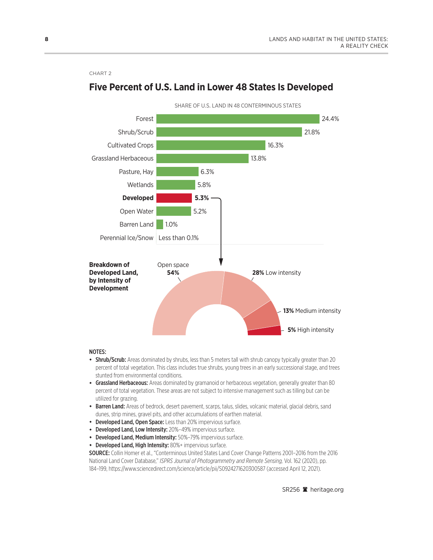#### CHART 2



# **Five Percent of U.S. Land in Lower 48 States Is Developed**

#### NOTES:

- Shrub/Scrub: Areas dominated by shrubs, less than 5 meters tall with shrub canopy typically greater than 20 percent of total vegetation. This class includes true shrubs, young trees in an early successional stage, and trees stunted from environmental conditions.
- Grassland Herbaceous: Areas dominated by gramanoid or herbaceous vegetation, generally greater than 80 percent of total vegetation. These areas are not subject to intensive management such as tilling but can be utilized for grazing.
- Barren Land: Areas of bedrock, desert pavement, scarps, talus, slides, volcanic material, glacial debris, sand dunes, strip mines, gravel pits, and other accumulations of earthen material.
- Developed Land, Open Space: Less than 20% impervious surface.
- Developed Land, Low Intensity: 20%–49% impervious surface.
- Developed Land, Medium Intensity: 50%–79% impervious surface.
- Developed Land, High Intensity: 80%+ impervious surface.

SOURCE: Collin Homer et al., "Conterminous United States Land Cover Change Patterns 2001–2016 from the 2016 National Land Cover Database," *ISPRS Journal of Photogrammetry and Remote Sensing,* Vol. 162 (2020), pp. 184–199, https://www.sciencedirect.com/science/article/pii/S0924271620300587 (accessed April 12, 2021).

SR256 <sup>a</sup> heritage.org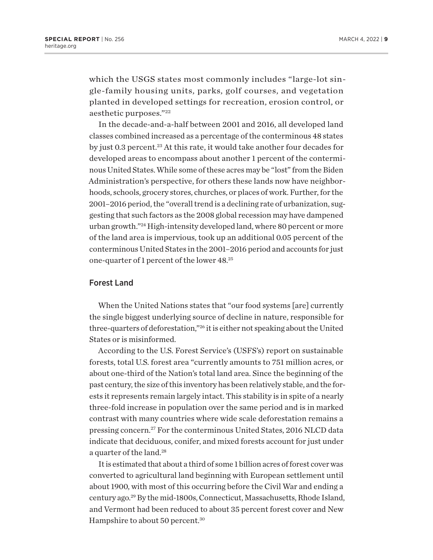<span id="page-11-0"></span>which the USGS states most commonly includes "large-lot single-family housing units, parks, golf courses, and vegetation planted in developed settings for recreation, erosion control, or aesthetic purposes."[22](#page-44-0)

In the decade-and-a-half between 2001 and 2016, all developed land classes combined increased as a percentage of the conterminous 48 states by just 0.3 percent.<sup>23</sup> At this rate, it would take another four decades for developed areas to encompass about another 1 percent of the conterminous United States. While some of these acres may be "lost" from the Biden Administration's perspective, for others these lands now have neighborhoods, schools, grocery stores, churches, or places of work. Further, for the 2001–2016 period, the "overall trend is a declining rate of urbanization, suggesting that such factors as the 2008 global recession may have dampened urban growth.["24](#page-44-0) High-intensity developed land, where 80 percent or more of the land area is impervious, took up an additional 0.05 percent of the conterminous United States in the 2001–2016 period and accounts for just one-quarter of 1 percent of the lower 48.[25](#page-45-0)

#### Forest Land

When the United Nations states that "our food systems [are] currently the single biggest underlying source of decline in nature, responsible for three-quarters of deforestation,"[26](#page-45-0) it is either not speaking about the United States or is misinformed.

According to the U.S. Forest Service's (USFS's) report on sustainable forests, total U.S. forest area "currently amounts to 751 million acres, or about one-third of the Nation's total land area. Since the beginning of the past century, the size of this inventory has been relatively stable, and the forests it represents remain largely intact. This stability is in spite of a nearly three-fold increase in population over the same period and is in marked contrast with many countries where wide scale deforestation remains a pressing concern[.27](#page-45-0) For the conterminous United States, 2016 NLCD data indicate that deciduous, conifer, and mixed forests account for just under a quarter of the land.<sup>28</sup>

It is estimated that about a third of some 1 billion acres of forest cover was converted to agricultural land beginning with European settlement until about 1900, with most of this occurring before the Civil War and ending a century ago.[29](#page-45-0) By the mid-1800s, Connecticut, Massachusetts, Rhode Island, and Vermont had been reduced to about 35 percent forest cover and New Hampshire to about 50 percent[.30](#page-45-0)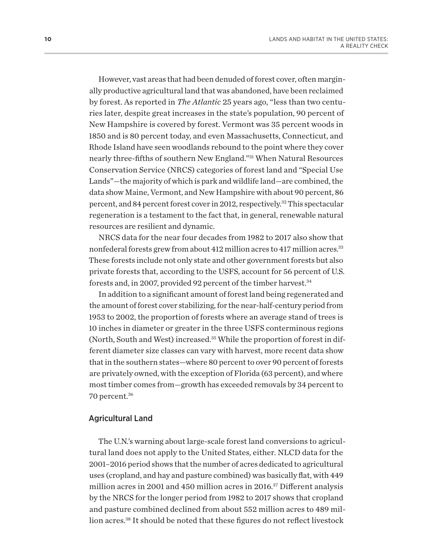<span id="page-12-0"></span>However, vast areas that had been denuded of forest cover, often marginally productive agricultural land that was abandoned, have been reclaimed by forest. As reported in *The Atlantic* 25 years ago, "less than two centuries later, despite great increases in the state's population, 90 percent of New Hampshire is covered by forest. Vermont was 35 percent woods in 1850 and is 80 percent today, and even Massachusetts, Connecticut, and Rhode Island have seen woodlands rebound to the point where they cover nearly three-fifths of southern New England."[31](#page-45-0) When Natural Resources Conservation Service (NRCS) categories of forest land and "Special Use Lands"—the majority of which is park and wildlife land—are combined, the data show Maine, Vermont, and New Hampshire with about 90 percent, 86 percent, and 84 percent forest cover in 2012, respectively[.32](#page-45-0) This spectacular regeneration is a testament to the fact that, in general, renewable natural resources are resilient and dynamic.

NRCS data for the near four decades from 1982 to 2017 also show that nonfederal forests grew from about 412 million acres to 417 million acres.<sup>[33](#page-45-0)</sup> These forests include not only state and other government forests but also private forests that, according to the USFS, account for 56 percent of U.S. forests and, in 2007, provided 92 percent of the timber harvest.<sup>[34](#page-45-0)</sup>

In addition to a significant amount of forest land being regenerated and the amount of forest cover stabilizing, for the near-half-century period from 1953 to 2002, the proportion of forests where an average stand of trees is 10 inches in diameter or greater in the three USFS conterminous regions (North, South and West) increased.[35](#page-45-0) While the proportion of forest in different diameter size classes can vary with harvest, more recent data show that in the southern states—where 80 percent to over 90 percent of forests are privately owned, with the exception of Florida (63 percent), and where most timber comes from—growth has exceeded removals by 34 percent to 70 percent[.36](#page-45-0)

#### Agricultural Land

The U.N.'s warning about large-scale forest land conversions to agricultural land does not apply to the United States, either. NLCD data for the 2001–2016 period shows that the number of acres dedicated to agricultural uses (cropland, and hay and pasture combined) was basically flat, with 449 million acres in 2001 and 450 million acres in 2016[.37](#page-45-0) Different analysis by the NRCS for the longer period from 1982 to 2017 shows that cropland and pasture combined declined from about 552 million acres to 489 million acres.<sup>38</sup> It should be noted that these figures do not reflect livestock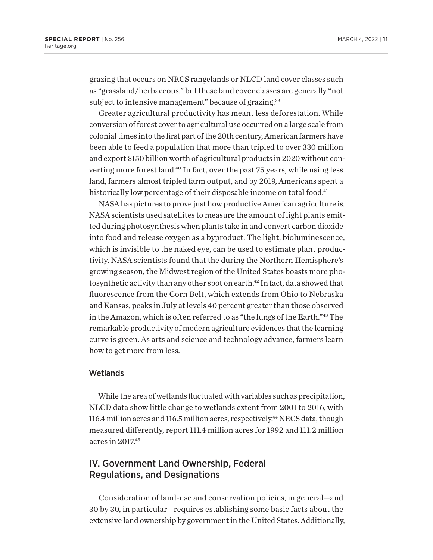<span id="page-13-0"></span>grazing that occurs on NRCS rangelands or NLCD land cover classes such as "grassland/herbaceous," but these land cover classes are generally "not subject to intensive management" because of grazing.<sup>39</sup>

Greater agricultural productivity has meant less deforestation. While conversion of forest cover to agricultural use occurred on a large scale from colonial times into the first part of the 20th century, American farmers have been able to feed a population that more than tripled to over 330 million and export \$150 billion worth of agricultural products in 2020 without converting more forest land[.40](#page-45-0) In fact, over the past 75 years, while using less land, farmers almost tripled farm output, and by 2019, Americans spent a historically low percentage of their disposable income on total food.<sup>41</sup>

NASA has pictures to prove just how productive American agriculture is. NASA scientists used satellites to measure the amount of light plants emitted during photosynthesis when plants take in and convert carbon dioxide into food and release oxygen as a byproduct. The light, bioluminescence, which is invisible to the naked eye, can be used to estimate plant productivity. NASA scientists found that the during the Northern Hemisphere's growing season, the Midwest region of the United States boasts more photosynthetic activity than any other spot on earth.<sup>42</sup> In fact, data showed that fluorescence from the Corn Belt, which extends from Ohio to Nebraska and Kansas, peaks in July at levels 40 percent greater than those observed in the Amazon, which is often referred to as "the lungs of the Earth."[43](#page-45-0) The remarkable productivity of modern agriculture evidences that the learning curve is green. As arts and science and technology advance, farmers learn how to get more from less.

## Wetlands

While the area of wetlands fluctuated with variables such as precipitation, NLCD data show little change to wetlands extent from 2001 to 2016, with 116.4 million acres and 116.5 million acres, respectively.<sup>44</sup> NRCS data, though measured differently, report 111.4 million acres for 1992 and 111.2 million acres in 2017[.45](#page-45-0)

# IV. Government Land Ownership, Federal Regulations, and Designations

Consideration of land-use and conservation policies, in general—and 30 by 30, in particular—requires establishing some basic facts about the extensive land ownership by government in the United States. Additionally,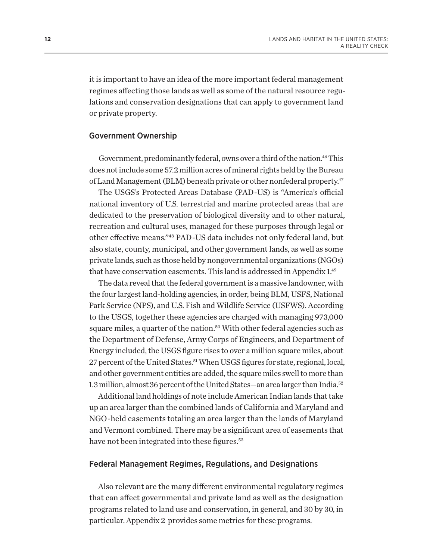<span id="page-14-0"></span>it is important to have an idea of the more important federal management regimes affecting those lands as well as some of the natural resource regulations and conservation designations that can apply to government land or private property.

### Government Ownership

Government, predominantly federal, owns over a third of the nation.<sup>46</sup> This does not include some 57.2 million acres of mineral rights held by the Bureau of Land Management (BLM) beneath private or other nonfederal property.<sup>47</sup>

The USGS's Protected Areas Database (PAD-US) is "America's official national inventory of U.S. terrestrial and marine protected areas that are dedicated to the preservation of biological diversity and to other natural, recreation and cultural uses, managed for these purposes through legal or other effective means."[48](#page-45-0) PAD-US data includes not only federal land, but also state, county, municipal, and other government lands, as well as some private lands, such as those held by nongovernmental organizations (NGOs) that have conservation easements. This land is addressed in Appendix 1.<sup>49</sup>

The data reveal that the federal government is a massive landowner, with the four largest land-holding agencies, in order, being BLM, USFS, National Park Service (NPS), and U.S. Fish and Wildlife Service (USFWS). According to the USGS, together these agencies are charged with managing 973,000 square miles, a quarter of the nation.<sup>50</sup> With other federal agencies such as the Department of Defense, Army Corps of Engineers, and Department of Energy included, the USGS figure rises to over a million square miles, about 27 percent of the United States[.51](#page-45-0) When USGS figures for state, regional, local, and other government entities are added, the square miles swell to more than 1.3 million, almost 36 percent of the United States—an area larger than India.[52](#page-46-0)

Additional land holdings of note include American Indian lands that take up an area larger than the combined lands of California and Maryland and NGO-held easements totaling an area larger than the lands of Maryland and Vermont combined. There may be a significant area of easements that have not been integrated into these figures.<sup>53</sup>

### Federal Management Regimes, Regulations, and Designations

Also relevant are the many different environmental regulatory regimes that can affect governmental and private land as well as the designation programs related to land use and conservation, in general, and 30 by 30, in particular. Appendix 2 provides some metrics for these programs.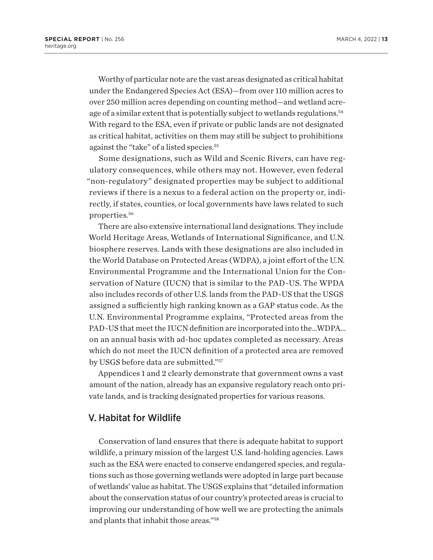<span id="page-15-0"></span>Worthy of particular note are the vast areas designated as critical habitat under the Endangered Species Act (ESA)—from over 110 million acres to over 250 million acres depending on counting method—and wetland acreage of a similar extent that is potentially subject to wetlands regulations.<sup>54</sup> With regard to the ESA, even if private or public lands are not designated as critical habitat, activities on them may still be subject to prohibitions against the "take" of a listed species.<sup>[55](#page-46-0)</sup>

Some designations, such as Wild and Scenic Rivers, can have regulatory consequences, while others may not. However, even federal "non-regulatory" designated properties may be subject to additional reviews if there is a nexus to a federal action on the property or, indirectly, if states, counties, or local governments have laws related to such properties.[56](#page-46-0)

There are also extensive international land designations. They include World Heritage Areas, Wetlands of International Significance, and U.N. biosphere reserves. Lands with these designations are also included in the World Database on Protected Areas (WDPA), a joint effort of the U.N. Environmental Programme and the International Union for the Conservation of Nature (IUCN) that is similar to the PAD-US. The WPDA also includes records of other U.S. lands from the PAD-US that the USGS assigned a sufficiently high ranking known as a GAP status code. As the U.N. Environmental Programme explains, "Protected areas from the PAD-US that meet the IUCN definition are incorporated into the…WDPA… on an annual basis with ad-hoc updates completed as necessary. Areas which do not meet the IUCN definition of a protected area are removed by USGS before data are submitted."[57](#page-46-0)

Appendices 1 and 2 clearly demonstrate that government owns a vast amount of the nation, already has an expansive regulatory reach onto private lands, and is tracking designated properties for various reasons.

# V. Habitat for Wildlife

Conservation of land ensures that there is adequate habitat to support wildlife, a primary mission of the largest U.S. land-holding agencies. Laws such as the ESA were enacted to conserve endangered species, and regulations such as those governing wetlands were adopted in large part because of wetlands' value as habitat. The USGS explains that "detailed information about the conservation status of our country's protected areas is crucial to improving our understanding of how well we are protecting the animals and plants that inhabit those areas."[58](#page-46-0)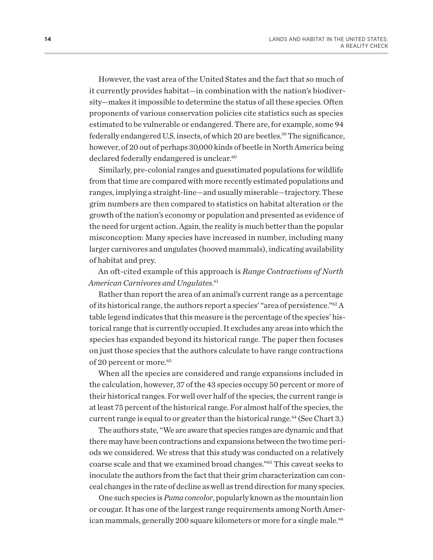<span id="page-16-0"></span>However, the vast area of the United States and the fact that so much of it currently provides habitat—in combination with the nation's biodiversity—makes it impossible to determine the status of all these species. Often proponents of various conservation policies cite statistics such as species estimated to be vulnerable or endangered. There are, for example, some 94 federally endangered U.S. insects, of which 20 are beetles.<sup>59</sup> The significance, however, of 20 out of perhaps 30,000 kinds of beetle in North America being declared federally endangered is unclear.<sup>60</sup>

Similarly, pre-colonial ranges and guesstimated populations for wildlife from that time are compared with more recently estimated populations and ranges, implying a straight-line—and usually miserable—trajectory. These grim numbers are then compared to statistics on habitat alteration or the growth of the nation's economy or population and presented as evidence of the need for urgent action. Again, the reality is much better than the popular misconception: Many species have increased in number, including many larger carnivores and ungulates (hooved mammals), indicating availability of habitat and prey.

# An oft-cited example of this approach is *Range Contractions of North American Carnivores and Ungulates*. [61](#page-46-0)

Rather than report the area of an animal's current range as a percentage of its historical range, the authors report a species' "area of persistence.["62](#page-46-0) A table legend indicates that this measure is the percentage of the species' historical range that is currently occupied. It excludes any areas into which the species has expanded beyond its historical range. The paper then focuses on just those species that the authors calculate to have range contractions of 20 percent or more.<sup>63</sup>

When all the species are considered and range expansions included in the calculation, however, 37 of the 43 species occupy 50 percent or more of their historical ranges. For well over half of the species, the current range is at least 75 percent of the historical range. For almost half of the species, the current range is equal to or greater than the historical range.<sup>64</sup> (See Chart 3.)

The authors state, "We are aware that species ranges are dynamic and that there may have been contractions and expansions between the two time periods we considered. We stress that this study was conducted on a relatively coarse scale and that we examined broad changes."[65](#page-46-0) This caveat seeks to inoculate the authors from the fact that their grim characterization can conceal changes in the rate of decline as well as trend direction for many species.

One such species is *Puma concolor*, popularly known as the mountain lion or cougar. It has one of the largest range requirements among North Amer-ican mammals, generally 200 square kilometers or more for a single male.<sup>[66](#page-46-0)</sup>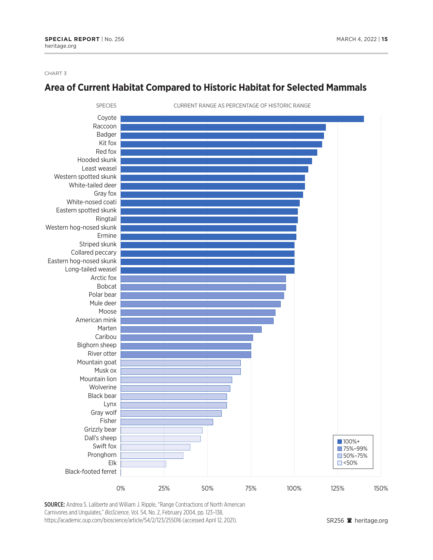#### CHART 3

# **Area of Current Habitat Compared to Historic Habitat for Selected Mammals**



SOURCE: Andrea S. Laliberte and William J. Ripple, "Range Contractions of North American Carnivores and Ungulates," *BioScience*, Vol. 54, No. 2, February 2004, pp. 123–138, https://academic.oup.com/bioscience/article/54/2/123/255016 (accessed April 12, 2021).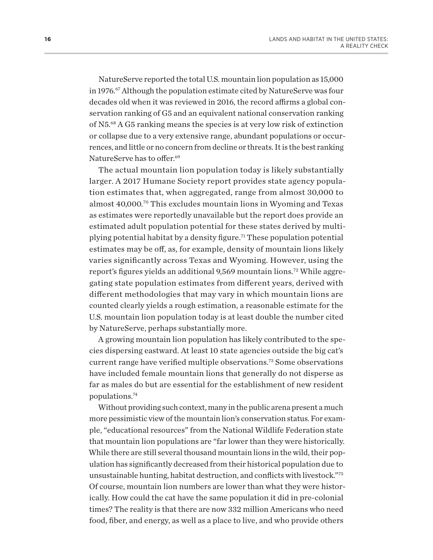<span id="page-18-0"></span>NatureServe reported the total U.S. mountain lion population as 15,000 in 1976[.67](#page-46-0) Although the population estimate cited by NatureServe was four decades old when it was reviewed in 2016, the record affirms a global conservation ranking of G5 and an equivalent national conservation ranking of N5.[68](#page-46-0) A G5 ranking means the species is at very low risk of extinction or collapse due to a very extensive range, abundant populations or occurrences, and little or no concern from decline or threats. It is the best ranking NatureServe has to offer.<sup>69</sup>

The actual mountain lion population today is likely substantially larger. A 2017 Humane Society report provides state agency population estimates that, when aggregated, range from almost 30,000 to almost 40,000.[70](#page-46-0) This excludes mountain lions in Wyoming and Texas as estimates were reportedly unavailable but the report does provide an estimated adult population potential for these states derived by multi-plying potential habitat by a density figure.<sup>[71](#page-46-0)</sup> These population potential estimates may be off, as, for example, density of mountain lions likely varies significantly across Texas and Wyoming. However, using the report's figures yields an additional 9,569 mountain lions.<sup>[72](#page-46-0)</sup> While aggregating state population estimates from different years, derived with different methodologies that may vary in which mountain lions are counted clearly yields a rough estimation, a reasonable estimate for the U.S. mountain lion population today is at least double the number cited by NatureServe, perhaps substantially more.

A growing mountain lion population has likely contributed to the species dispersing eastward. At least 10 state agencies outside the big cat's current range have verified multiple observations.<sup>73</sup> Some observations have included female mountain lions that generally do not disperse as far as males do but are essential for the establishment of new resident populations.[74](#page-47-0)

Without providing such context, many in the public arena present a much more pessimistic view of the mountain lion's conservation status. For example, "educational resources" from the National Wildlife Federation state that mountain lion populations are "far lower than they were historically. While there are still several thousand mountain lions in the wild, their population has significantly decreased from their historical population due to unsustainable hunting, habitat destruction, and conflicts with livestock."[75](#page-47-0) Of course, mountain lion numbers are lower than what they were historically. How could the cat have the same population it did in pre-colonial times? The reality is that there are now 332 million Americans who need food, fiber, and energy, as well as a place to live, and who provide others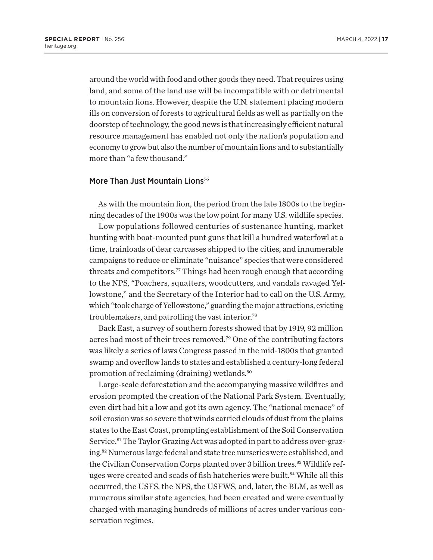<span id="page-19-0"></span>around the world with food and other goods they need. That requires using land, and some of the land use will be incompatible with or detrimental to mountain lions. However, despite the U.N. statement placing modern ills on conversion of forests to agricultural fields as well as partially on the doorstep of technology, the good news is that increasingly efficient natural resource management has enabled not only the nation's population and economy to grow but also the number of mountain lions and to substantially more than "a few thousand."

## More Than Just Mountain Lions<sup>[76](#page-47-0)</sup>

As with the mountain lion, the period from the late 1800s to the beginning decades of the 1900s was the low point for many U.S. wildlife species.

Low populations followed centuries of sustenance hunting, market hunting with boat-mounted punt guns that kill a hundred waterfowl at a time, trainloads of dear carcasses shipped to the cities, and innumerable campaigns to reduce or eliminate "nuisance" species that were considered threats and competitors.<sup>[77](#page-47-0)</sup> Things had been rough enough that according to the NPS, "Poachers, squatters, woodcutters, and vandals ravaged Yellowstone," and the Secretary of the Interior had to call on the U.S. Army, which "took charge of Yellowstone," guarding the major attractions, evicting troublemakers, and patrolling the vast interior.[78](#page-47-0)

Back East, a survey of southern forests showed that by 1919, 92 million acres had most of their trees removed[.79](#page-47-0) One of the contributing factors was likely a series of laws Congress passed in the mid-1800s that granted swamp and overflow lands to states and established a century-long federal promotion of reclaiming (draining) wetlands.<sup>[80](#page-47-0)</sup>

Large-scale deforestation and the accompanying massive wildfires and erosion prompted the creation of the National Park System. Eventually, even dirt had hit a low and got its own agency. The "national menace" of soil erosion was so severe that winds carried clouds of dust from the plains states to the East Coast, prompting establishment of the Soil Conservation Service.<sup>81</sup> The Taylor Grazing Act was adopted in part to address over-grazing[.82](#page-47-0) Numerous large federal and state tree nurseries were established, and the Civilian Conservation Corps planted over 3 billion trees.<sup>83</sup> Wildlife refuges were created and scads of fish hatcheries were built.<sup>84</sup> While all this occurred, the USFS, the NPS, the USFWS, and, later, the BLM, as well as numerous similar state agencies, had been created and were eventually charged with managing hundreds of millions of acres under various conservation regimes.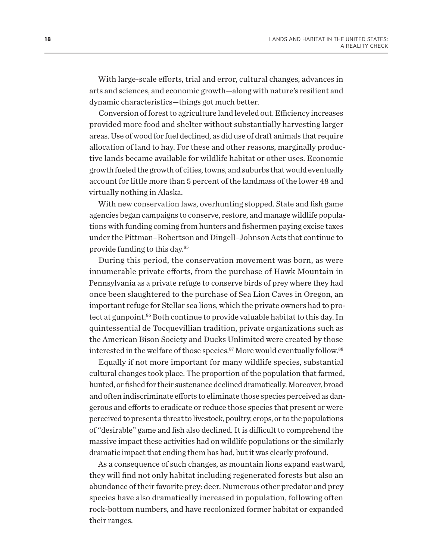<span id="page-20-0"></span>With large-scale efforts, trial and error, cultural changes, advances in arts and sciences, and economic growth—along with nature's resilient and dynamic characteristics—things got much better.

Conversion of forest to agriculture land leveled out. Efficiency increases provided more food and shelter without substantially harvesting larger areas. Use of wood for fuel declined, as did use of draft animals that require allocation of land to hay. For these and other reasons, marginally productive lands became available for wildlife habitat or other uses. Economic growth fueled the growth of cities, towns, and suburbs that would eventually account for little more than 5 percent of the landmass of the lower 48 and virtually nothing in Alaska.

With new conservation laws, overhunting stopped. State and fish game agencies began campaigns to conserve, restore, and manage wildlife populations with funding coming from hunters and fishermen paying excise taxes under the Pittman–Robertson and Dingell–Johnson Acts that continue to provide funding to this day.[85](#page-47-0)

During this period, the conservation movement was born, as were innumerable private efforts, from the purchase of Hawk Mountain in Pennsylvania as a private refuge to conserve birds of prey where they had once been slaughtered to the purchase of Sea Lion Caves in Oregon, an important refuge for Stellar sea lions, which the private owners had to protect at gunpoint.<sup>86</sup> Both continue to provide valuable habitat to this day. In quintessential de Tocquevillian tradition, private organizations such as the American Bison Society and Ducks Unlimited were created by those interested in the welfare of those species.<sup>87</sup> More would eventually follow.<sup>[88](#page-47-0)</sup>

Equally if not more important for many wildlife species, substantial cultural changes took place. The proportion of the population that farmed, hunted, or fished for their sustenance declined dramatically. Moreover, broad and often indiscriminate efforts to eliminate those species perceived as dangerous and efforts to eradicate or reduce those species that present or were perceived to present a threat to livestock, poultry, crops, or to the populations of "desirable" game and fish also declined. It is difficult to comprehend the massive impact these activities had on wildlife populations or the similarly dramatic impact that ending them has had, but it was clearly profound.

As a consequence of such changes, as mountain lions expand eastward, they will find not only habitat including regenerated forests but also an abundance of their favorite prey: deer. Numerous other predator and prey species have also dramatically increased in population, following often rock-bottom numbers, and have recolonized former habitat or expanded their ranges.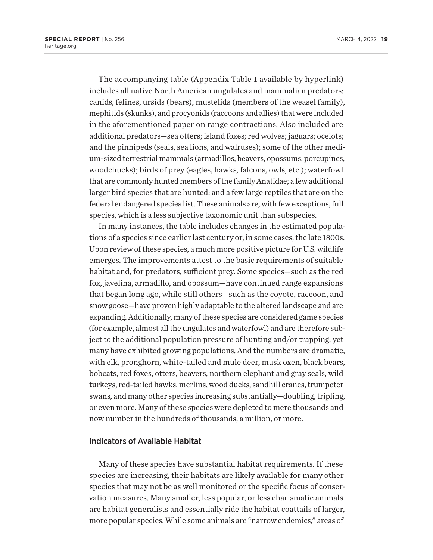The accompanying table (Appendix Table 1 available by hyperlink) includes all native North American ungulates and mammalian predators: canids, felines, ursids (bears), mustelids (members of the weasel family), mephitids (skunks), and procyonids (raccoons and allies) that were included in the aforementioned paper on range contractions. Also included are additional predators—sea otters; island foxes; red wolves; jaguars; ocelots; and the pinnipeds (seals, sea lions, and walruses); some of the other medium-sized terrestrial mammals (armadillos, beavers, opossums, porcupines, woodchucks); birds of prey (eagles, hawks, falcons, owls, etc.); waterfowl that are commonly hunted members of the familyAnatidae; a few additional larger bird species that are hunted; and a few large reptiles that are on the federal endangered species list. These animals are, with few exceptions, full species, which is a less subjective taxonomic unit than subspecies.

In many instances, the table includes changes in the estimated populations of a species since earlier last century or, in some cases, the late 1800s. Upon review of these species, a much more positive picture for U.S. wildlife emerges. The improvements attest to the basic requirements of suitable habitat and, for predators, sufficient prey. Some species—such as the red fox, javelina, armadillo, and opossum—have continued range expansions that began long ago, while still others—such as the coyote, raccoon, and snow goose—have proven highly adaptable to the altered landscape and are expanding. Additionally, many of these species are considered game species (for example, almost all the ungulates and waterfowl) and are therefore subject to the additional population pressure of hunting and/or trapping, yet many have exhibited growing populations. And the numbers are dramatic, with elk, pronghorn, white-tailed and mule deer, musk oxen, black bears, bobcats, red foxes, otters, beavers, northern elephant and gray seals, wild turkeys, red-tailed hawks, merlins, wood ducks, sandhill cranes, trumpeter swans, and many other species increasing substantially—doubling, tripling, or even more. Many of these species were depleted to mere thousands and now number in the hundreds of thousands, a million, or more.

#### Indicators of Available Habitat

Many of these species have substantial habitat requirements. If these species are increasing, their habitats are likely available for many other species that may not be as well monitored or the specific focus of conservation measures. Many smaller, less popular, or less charismatic animals are habitat generalists and essentially ride the habitat coattails of larger, more popular species. While some animals are "narrow endemics," areas of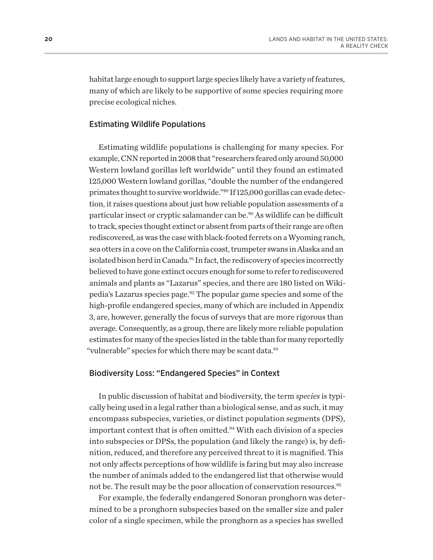<span id="page-22-0"></span>habitat large enough to support large species likely have a variety of features, many of which are likely to be supportive of some species requiring more precise ecological niches.

## Estimating Wildlife Populations

Estimating wildlife populations is challenging for many species. For example, CNN reported in 2008 that "researchers feared only around 50,000 Western lowland gorillas left worldwide" until they found an estimated 125,000 Western lowland gorillas, "double the number of the endangered primates thought to survive worldwide.["89](#page-47-0) If 125,000 gorillas can evade detection, it raises questions about just how reliable population assessments of a particular insect or cryptic salamander can be[.90](#page-48-0) As wildlife can be difficult to track, species thought extinct or absent from parts of their range are often rediscovered, as was the case with black-footed ferrets on a Wyoming ranch, sea otters in a cove on the California coast, trumpeter swans in Alaska and an isolated bison herd in Canada.<sup>[91](#page-48-0)</sup> In fact, the rediscovery of species incorrectly believed to have gone extinct occurs enough for some to refer to rediscovered animals and plants as "Lazarus" species, and there are 180 listed on Wikipedia's Lazarus species page.[92](#page-48-0) The popular game species and some of the high-profile endangered species, many of which are included in Appendix 3, are, however, generally the focus of surveys that are more rigorous than average. Consequently, as a group, there are likely more reliable population estimates for many of the species listed in the table than for many reportedly "vulnerable" species for which there may be scant data.<sup>93</sup>

## Biodiversity Loss: "Endangered Species" in Context

In public discussion of habitat and biodiversity, the term *species* is typically being used in a legal rather than a biological sense, and as such, it may encompass subspecies, varieties, or distinct population segments (DPS), important context that is often omitted.<sup>94</sup> With each division of a species into subspecies or DPSs, the population (and likely the range) is, by definition, reduced, and therefore any perceived threat to it is magnified. This not only affects perceptions of how wildlife is faring but may also increase the number of animals added to the endangered list that otherwise would not be. The result may be the poor allocation of conservation resources.<sup>[95](#page-48-0)</sup>

For example, the federally endangered Sonoran pronghorn was determined to be a pronghorn subspecies based on the smaller size and paler color of a single specimen, while the pronghorn as a species has swelled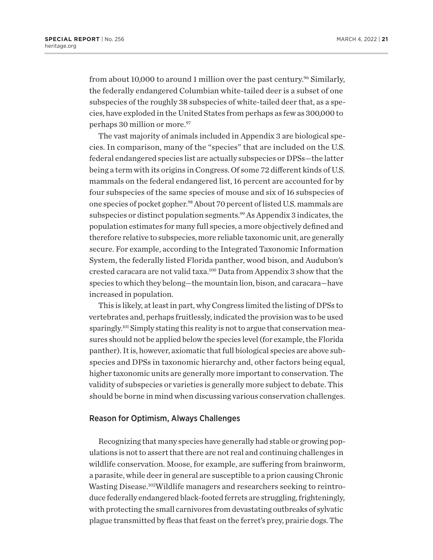<span id="page-23-0"></span>from about 10,000 to around 1 million over the past century.<sup>96</sup> Similarly, the federally endangered Columbian white-tailed deer is a subset of one subspecies of the roughly 38 subspecies of white-tailed deer that, as a species, have exploded in the United States from perhaps as few as 300,000 to perhaps 30 million or more.<sup>[97](#page-48-0)</sup>

The vast majority of animals included in Appendix 3 are biological species. In comparison, many of the "species" that are included on the U.S. federal endangered species list are actually subspecies or DPSs—the latter being a term with its origins in Congress. Of some 72 different kinds of U.S. mammals on the federal endangered list, 16 percent are accounted for by four subspecies of the same species of mouse and six of 16 subspecies of one species of pocket gopher.[98](#page-48-0) About 70 percent of listed U.S. mammals are subspecies or distinct population segments.<sup>99</sup> As Appendix 3 indicates, the population estimates for many full species, a more objectively defined and therefore relative to subspecies, more reliable taxonomic unit, are generally secure. For example, according to the Integrated Taxonomic Information System, the federally listed Florida panther, wood bison, and Audubon's crested caracara are not valid taxa.[100](#page-48-0) Data from Appendix 3 show that the species to which they belong—the mountain lion, bison, and caracara—have increased in population.

This is likely, at least in part, why Congress limited the listing of DPSs to vertebrates and, perhaps fruitlessly, indicated the provision was to be used sparingly.<sup>101</sup> Simply stating this reality is not to argue that conservation measures should not be applied below the species level (for example, the Florida panther). It is, however, axiomatic that full biological species are above subspecies and DPSs in taxonomic hierarchy and, other factors being equal, higher taxonomic units are generally more important to conservation. The validity of subspecies or varieties is generally more subject to debate. This should be borne in mind when discussing various conservation challenges.

#### Reason for Optimism, Always Challenges

Recognizing that many species have generally had stable or growing populations is not to assert that there are not real and continuing challenges in wildlife conservation. Moose, for example, are suffering from brainworm, a parasite, while deer in general are susceptible to a prion causing Chronic Wasting Disease.[102](#page-48-0)Wildlife managers and researchers seeking to reintroduce federally endangered black-footed ferrets are struggling, frighteningly, with protecting the small carnivores from devastating outbreaks of sylvatic plague transmitted by fleas that feast on the ferret's prey, prairie dogs. The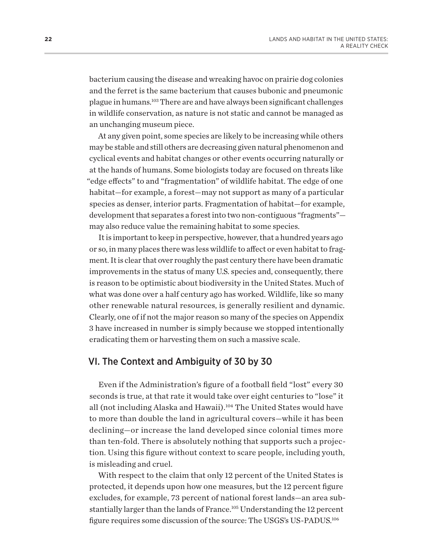<span id="page-24-0"></span>bacterium causing the disease and wreaking havoc on prairie dog colonies and the ferret is the same bacterium that causes bubonic and pneumonic plague in humans[.103](#page-48-0) There are and have always been significant challenges in wildlife conservation, as nature is not static and cannot be managed as an unchanging museum piece.

At any given point, some species are likely to be increasing while others may be stable and still others are decreasing given natural phenomenon and cyclical events and habitat changes or other events occurring naturally or at the hands of humans. Some biologists today are focused on threats like "edge effects" to and "fragmentation" of wildlife habitat. The edge of one habitat—for example, a forest—may not support as many of a particular species as denser, interior parts. Fragmentation of habitat—for example, development that separates a forest into two non-contiguous "fragments" may also reduce value the remaining habitat to some species.

It is important to keep in perspective, however, that a hundred years ago or so, in many places there was less wildlife to affect or even habitat to fragment. It is clear that over roughly the past century there have been dramatic improvements in the status of many U.S. species and, consequently, there is reason to be optimistic about biodiversity in the United States. Much of what was done over a half century ago has worked. Wildlife, like so many other renewable natural resources, is generally resilient and dynamic. Clearly, one of if not the major reason so many of the species on Appendix 3 have increased in number is simply because we stopped intentionally eradicating them or harvesting them on such a massive scale.

# VI. The Context and Ambiguity of 30 by 30

Even if the Administration's figure of a football field "lost" every 30 seconds is true, at that rate it would take over eight centuries to "lose" it all (not including Alaska and Hawaii).<sup>104</sup> The United States would have to more than double the land in agricultural covers—while it has been declining—or increase the land developed since colonial times more than ten-fold. There is absolutely nothing that supports such a projection. Using this figure without context to scare people, including youth, is misleading and cruel.

With respect to the claim that only 12 percent of the United States is protected, it depends upon how one measures, but the 12 percent figure excludes, for example, 73 percent of national forest lands—an area substantially larger than the lands of France.<sup>105</sup> Understanding the 12 percent figure requires some discussion of the source: The USGS's US-PADUS[.106](#page-48-0)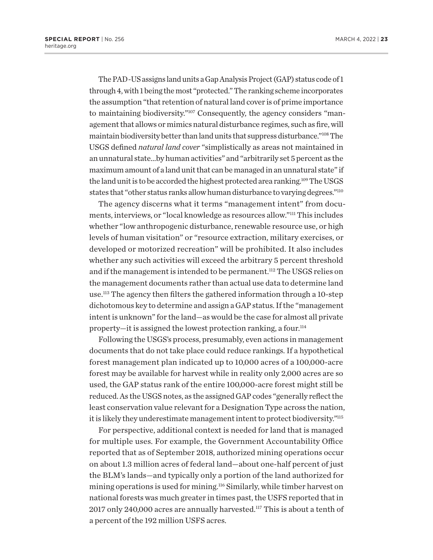<span id="page-25-0"></span>The PAD-US assigns land units a Gap Analysis Project (GAP) status code of 1 through 4, with 1 being the most "protected." The ranking scheme incorporates the assumption "that retention of natural land cover is of prime importance to maintaining biodiversity.["107](#page-48-0) Consequently, the agency considers "management that allows or mimics natural disturbance regimes, such as fire, will maintain biodiversity better than land units that suppress disturbance.["108](#page-48-0) The USGS defined *natural land cover* "simplistically as areas not maintained in an unnatural state…by human activities" and "arbitrarily set 5 percent as the maximum amount of a land unit that can be managed in an unnatural state" if the land unit is to be accorded the highest protected area ranking[.109](#page-48-0) The USGS states that "other status ranks allow human disturbance to varying degrees."<sup>[110](#page-48-0)</sup>

The agency discerns what it terms "management intent" from documents, interviews, or "local knowledge as resources allow.["111](#page-48-0) This includes whether "low anthropogenic disturbance, renewable resource use, or high levels of human visitation" or "resource extraction, military exercises, or developed or motorized recreation" will be prohibited. It also includes whether any such activities will exceed the arbitrary 5 percent threshold and if the management is intended to be permanent.<sup>112</sup> The USGS relies on the management documents rather than actual use data to determine land use.[113](#page-48-0) The agency then filters the gathered information through a 10-step dichotomous key to determine and assign a GAP status. If the "management intent is unknown" for the land—as would be the case for almost all private property—it is assigned the lowest protection ranking, a four[.114](#page-48-0)

Following the USGS's process, presumably, even actions in management documents that do not take place could reduce rankings. If a hypothetical forest management plan indicated up to 10,000 acres of a 100,000-acre forest may be available for harvest while in reality only 2,000 acres are so used, the GAP status rank of the entire 100,000-acre forest might still be reduced. As the USGS notes, as the assigned GAP codes "generally reflect the least conservation value relevant for a Designation Type across the nation, it is likely they underestimate management intent to protect biodiversity.["115](#page-48-0)

For perspective, additional context is needed for land that is managed for multiple uses. For example, the Government Accountability Office reported that as of September 2018, authorized mining operations occur on about 1.3 million acres of federal land—about one-half percent of just the BLM's lands—and typically only a portion of the land authorized for mining operations is used for mining.<sup>116</sup> Similarly, while timber harvest on national forests was much greater in times past, the USFS reported that in 2017 only 240,000 acres are annually harvested.<sup>117</sup> This is about a tenth of a percent of the 192 million USFS acres.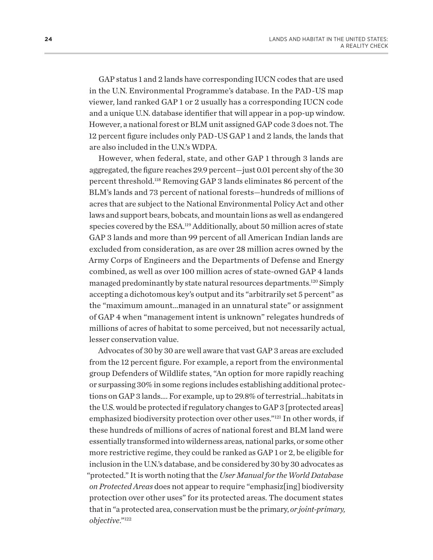<span id="page-26-0"></span>GAP status 1 and 2 lands have corresponding IUCN codes that are used in the U.N. Environmental Programme's database. In the PAD-US map viewer, land ranked GAP 1 or 2 usually has a corresponding IUCN code and a unique U.N. database identifier that will appear in a pop-up window. However, a national forest or BLM unit assigned GAP code 3 does not. The 12 percent figure includes only PAD-US GAP 1 and 2 lands, the lands that are also included in the U.N.'s WDPA.

However, when federal, state, and other GAP 1 through 3 lands are aggregated, the figure reaches 29.9 percent—just 0.01 percent shy of the 30 percent threshold[.118](#page-49-0) Removing GAP 3 lands eliminates 86 percent of the BLM's lands and 73 percent of national forests—hundreds of millions of acres that are subject to the National Environmental Policy Act and other laws and support bears, bobcats, and mountain lions as well as endangered species covered by the ESA[.119](#page-49-0) Additionally, about 50 million acres of state GAP 3 lands and more than 99 percent of all American Indian lands are excluded from consideration, as are over 28 million acres owned by the Army Corps of Engineers and the Departments of Defense and Energy combined, as well as over 100 million acres of state-owned GAP 4 lands managed predominantly by state natural resources departments.[120](#page-49-0) Simply accepting a dichotomous key's output and its "arbitrarily set 5 percent" as the "maximum amount…managed in an unnatural state" or assignment of GAP 4 when "management intent is unknown" relegates hundreds of millions of acres of habitat to some perceived, but not necessarily actual, lesser conservation value.

Advocates of 30 by 30 are well aware that vast GAP 3 areas are excluded from the 12 percent figure. For example, a report from the environmental group Defenders of Wildlife states, "An option for more rapidly reaching or surpassing 30% in some regions includes establishing additional protections on GAP 3 lands…. For example, up to 29.8% of terrestrial…habitats in the U.S. would be protected if regulatory changes to GAP 3 [protected areas] emphasized biodiversity protection over other uses.["121](#page-49-0) In other words, if these hundreds of millions of acres of national forest and BLM land were essentially transformed into wilderness areas, national parks, or some other more restrictive regime, they could be ranked as GAP 1 or 2, be eligible for inclusion in the U.N.'s database, and be considered by 30 by 30 advocates as "protected." It is worth noting that the *User Manual for the World Database on Protected Areas* does not appear to require "emphasiz[ing] biodiversity protection over other uses" for its protected areas. The document states that in "a protected area, conservation must be the primary, *or joint-primary, objective*."[122](#page-49-0)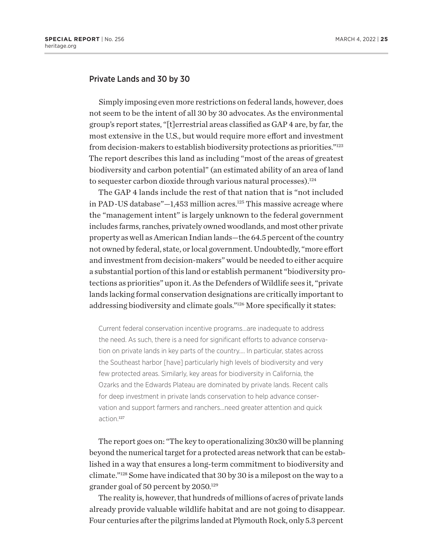## <span id="page-27-0"></span>Private Lands and 30 by 30

Simply imposing even more restrictions on federal lands, however, does not seem to be the intent of all 30 by 30 advocates. As the environmental group's report states, "[t]errestrial areas classified as GAP 4 are, by far, the most extensive in the U.S., but would require more effort and investment from decision-makers to establish biodiversity protections as priorities."[123](#page-49-0) The report describes this land as including "most of the areas of greatest biodiversity and carbon potential" (an estimated ability of an area of land to sequester carbon dioxide through various natural processes).<sup>[124](#page-49-0)</sup>

The GAP 4 lands include the rest of that nation that is "not included in PAD-US database" $-1.453$  million acres.<sup>[125](#page-49-0)</sup> This massive acreage where the "management intent" is largely unknown to the federal government includes farms, ranches, privately owned woodlands, and most other private property as well as American Indian lands—the 64.5 percent of the country not owned by federal, state, or local government. Undoubtedly, "more effort and investment from decision-makers" would be needed to either acquire a substantial portion of this land or establish permanent "biodiversity protections as priorities" upon it. As the Defenders of Wildlife sees it, "private lands lacking formal conservation designations are critically important to addressing biodiversity and climate goals."[126](#page-49-0) More specifically it states:

Current federal conservation incentive programs…are inadequate to address the need. As such, there is a need for significant efforts to advance conservation on private lands in key parts of the country…. In particular, states across the Southeast harbor [have] particularly high levels of biodiversity and very few protected areas. Similarly, key areas for biodiversity in California, the Ozarks and the Edwards Plateau are dominated by private lands. Recent calls for deep investment in private lands conservation to help advance conservation and support farmers and ranchers…need greater attention and quick action.<sup>[127](#page-49-0)</sup>

The report goes on: "The key to operationalizing 30x30 will be planning beyond the numerical target for a protected areas network that can be established in a way that ensures a long-term commitment to biodiversity and climate.["128](#page-49-0) Some have indicated that 30 by 30 is a milepost on the way to a grander goal of 50 percent by 2050.[129](#page-49-0)

The reality is, however, that hundreds of millions of acres of private lands already provide valuable wildlife habitat and are not going to disappear. Four centuries after the pilgrims landed at Plymouth Rock, only 5.3 percent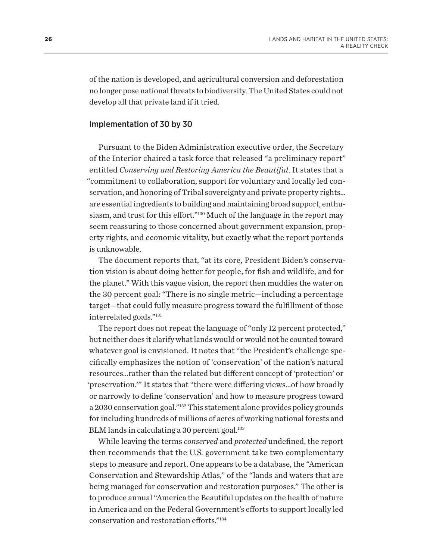<span id="page-28-0"></span>of the nation is developed, and agricultural conversion and deforestation no longer pose national threats to biodiversity. The United States could not develop all that private land if it tried.

#### Implementation of 30 by 30

Pursuant to the Biden Administration executive order, the Secretary of the Interior chaired a task force that released "a preliminary report" entitled *Conserving and Restoring America the Beautiful*. It states that a "commitment to collaboration, support for voluntary and locally led conservation, and honoring of Tribal sovereignty and private property rights… are essential ingredients to building and maintaining broad support, enthusiasm, and trust for this effort."[130](#page-49-0) Much of the language in the report may seem reassuring to those concerned about government expansion, property rights, and economic vitality, but exactly what the report portends is unknowable.

The document reports that, "at its core, President Biden's conservation vision is about doing better for people, for fish and wildlife, and for the planet." With this vague vision, the report then muddies the water on the 30 percent goal: "There is no single metric—including a percentage target—that could fully measure progress toward the fulfillment of those interrelated goals.["131](#page-49-0)

The report does not repeat the language of "only 12 percent protected," but neither does it clarify what lands would or would not be counted toward whatever goal is envisioned. It notes that "the President's challenge specifically emphasizes the notion of 'conservation' of the nation's natural resources…rather than the related but different concept of 'protection' or 'preservation.'" It states that "there were differing views…of how broadly or narrowly to define 'conservation' and how to measure progress toward a 2030 conservation goal."[132](#page-49-0) This statement alone provides policy grounds for including hundreds of millions of acres of working national forests and BLM lands in calculating a 30 percent goal.<sup>133</sup>

While leaving the terms *conserved* and *protected* undefined, the report then recommends that the U.S. government take two complementary steps to measure and report. One appears to be a database, the "American Conservation and Stewardship Atlas," of the "lands and waters that are being managed for conservation and restoration purposes." The other is to produce annual "America the Beautiful updates on the health of nature in America and on the Federal Government's efforts to support locally led conservation and restoration efforts."[134](#page-49-0)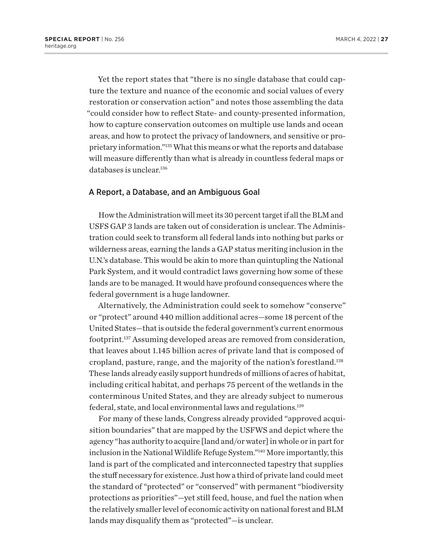<span id="page-29-0"></span>Yet the report states that "there is no single database that could capture the texture and nuance of the economic and social values of every restoration or conservation action" and notes those assembling the data "could consider how to reflect State- and county-presented information, how to capture conservation outcomes on multiple use lands and ocean areas, and how to protect the privacy of landowners, and sensitive or proprietary information."[135](#page-49-0) What this means or what the reports and database will measure differently than what is already in countless federal maps or databases is unclear.[136](#page-49-0)

#### A Report, a Database, and an Ambiguous Goal

How the Administration will meet its 30 percent target if all the BLM and USFS GAP 3 lands are taken out of consideration is unclear. The Administration could seek to transform all federal lands into nothing but parks or wilderness areas, earning the lands a GAP status meriting inclusion in the U.N.'s database. This would be akin to more than quintupling the National Park System, and it would contradict laws governing how some of these lands are to be managed. It would have profound consequences where the federal government is a huge landowner.

Alternatively, the Administration could seek to somehow "conserve" or "protect" around 440 million additional acres—some 18 percent of the United States—that is outside the federal government's current enormous footprint[.137](#page-49-0) Assuming developed areas are removed from consideration, that leaves about 1.145 billion acres of private land that is composed of cropland, pasture, range, and the majority of the nation's forestland[.138](#page-49-0) These lands already easily support hundreds of millions of acres of habitat, including critical habitat, and perhaps 75 percent of the wetlands in the conterminous United States, and they are already subject to numerous federal, state, and local environmental laws and regulations.[139](#page-49-0)

For many of these lands, Congress already provided "approved acquisition boundaries" that are mapped by the USFWS and depict where the agency "has authority to acquire [land and/or water] in whole or in part for inclusion in the National Wildlife Refuge System.["140](#page-49-0) More importantly, this land is part of the complicated and interconnected tapestry that supplies the stuff necessary for existence. Just how a third of private land could meet the standard of "protected" or "conserved" with permanent "biodiversity protections as priorities"—yet still feed, house, and fuel the nation when the relatively smaller level of economic activity on national forest and BLM lands may disqualify them as "protected"—is unclear.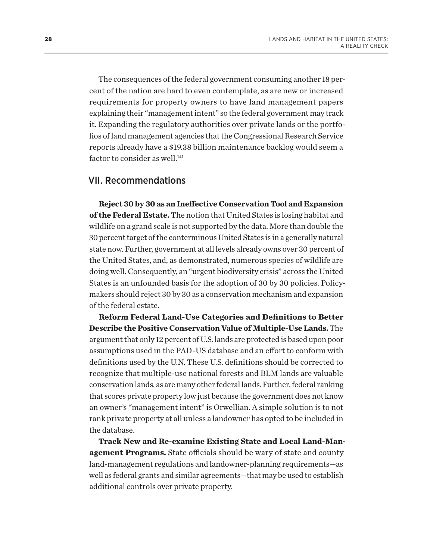<span id="page-30-0"></span>The consequences of the federal government consuming another 18 percent of the nation are hard to even contemplate, as are new or increased requirements for property owners to have land management papers explaining their "management intent" so the federal government may track it. Expanding the regulatory authorities over private lands or the portfolios of land management agencies that the Congressional Research Service reports already have a \$19.38 billion maintenance backlog would seem a factor to consider as well.<sup>[141](#page-49-0)</sup>

# VII. Recommendations

**Reject 30 by 30 as an Ineffective Conservation Tool and Expansion of the Federal Estate.** The notion that United States is losing habitat and wildlife on a grand scale is not supported by the data. More than double the 30 percent target of the conterminous United States is in a generally natural state now. Further, government at all levels already owns over 30 percent of the United States, and, as demonstrated, numerous species of wildlife are doing well. Consequently, an "urgent biodiversity crisis" across the United States is an unfounded basis for the adoption of 30 by 30 policies. Policymakers should reject 30 by 30 as a conservation mechanism and expansion of the federal estate.

**Reform Federal Land-Use Categories and Definitions to Better Describe the Positive Conservation Value of Multiple-Use Lands.** The argument that only 12 percent of U.S. lands are protected is based upon poor assumptions used in the PAD-US database and an effort to conform with definitions used by the U.N. These U.S. definitions should be corrected to recognize that multiple-use national forests and BLM lands are valuable conservation lands, as are many other federal lands. Further, federal ranking that scores private property low just because the government does not know an owner's "management intent" is Orwellian. A simple solution is to not rank private property at all unless a landowner has opted to be included in the database.

**Track New and Re-examine Existing State and Local Land-Management Programs.** State officials should be wary of state and county land-management regulations and landowner-planning requirements—as well as federal grants and similar agreements—that may be used to establish additional controls over private property.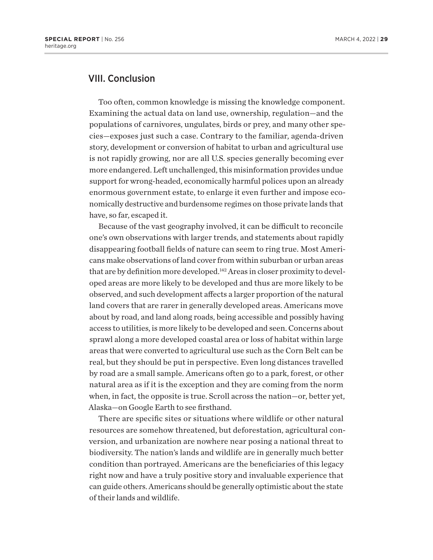# <span id="page-31-0"></span>VIII. Conclusion

Too often, common knowledge is missing the knowledge component. Examining the actual data on land use, ownership, regulation—and the populations of carnivores, ungulates, birds or prey, and many other species—exposes just such a case. Contrary to the familiar, agenda-driven story, development or conversion of habitat to urban and agricultural use is not rapidly growing, nor are all U.S. species generally becoming ever more endangered. Left unchallenged, this misinformation provides undue support for wrong-headed, economically harmful polices upon an already enormous government estate, to enlarge it even further and impose economically destructive and burdensome regimes on those private lands that have, so far, escaped it.

Because of the vast geography involved, it can be difficult to reconcile one's own observations with larger trends, and statements about rapidly disappearing football fields of nature can seem to ring true. Most Americans make observations of land cover from within suburban or urban areas that are by definition more developed.<sup>142</sup> Areas in closer proximity to developed areas are more likely to be developed and thus are more likely to be observed, and such development affects a larger proportion of the natural land covers that are rarer in generally developed areas. Americans move about by road, and land along roads, being accessible and possibly having access to utilities, is more likely to be developed and seen. Concerns about sprawl along a more developed coastal area or loss of habitat within large areas that were converted to agricultural use such as the Corn Belt can be real, but they should be put in perspective. Even long distances travelled by road are a small sample. Americans often go to a park, forest, or other natural area as if it is the exception and they are coming from the norm when, in fact, the opposite is true. Scroll across the nation—or, better yet, Alaska—on Google Earth to see firsthand.

There are specific sites or situations where wildlife or other natural resources are somehow threatened, but deforestation, agricultural conversion, and urbanization are nowhere near posing a national threat to biodiversity. The nation's lands and wildlife are in generally much better condition than portrayed. Americans are the beneficiaries of this legacy right now and have a truly positive story and invaluable experience that can guide others. Americans should be generally optimistic about the state of their lands and wildlife.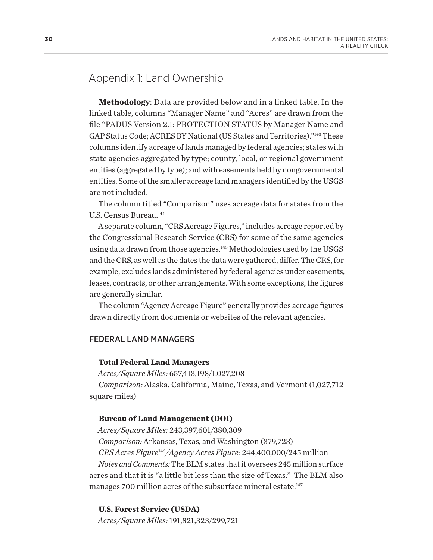# <span id="page-32-0"></span>Appendix 1: Land Ownership

**Methodology**: Data are provided below and in a linked table. In the linked table, columns "Manager Name" and "Acres" are drawn from the file "PADUS Version 2.1: PROTECTION STATUS by Manager Name and GAP Status Code; ACRES BY National (US States and Territories)."[143](#page-49-0) These columns identify acreage of lands managed by federal agencies; states with state agencies aggregated by type; county, local, or regional government entities (aggregated by type); and with easements held by nongovernmental entities. Some of the smaller acreage land managers identified by the USGS are not included.

The column titled "Comparison" uses acreage data for states from the U.S. Census Bureau.<sup>144</sup>

A separate column, "CRS Acreage Figures," includes acreage reported by the Congressional Research Service (CRS) for some of the same agencies using data drawn from those agencies*.* [145](#page-49-0) Methodologies used by the USGS and the CRS, as well as the dates the data were gathered, differ. The CRS, for example, excludes lands administered by federal agencies under easements, leases, contracts, or other arrangements. With some exceptions, the figures are generally similar.

The column "Agency Acreage Figure" generally provides acreage figures drawn directly from documents or websites of the relevant agencies.

# FEDERAL LAND MANAGERS

## **Total Federal Land Managers**

*Acres/Square Miles:* 657,413,198/1,027,208

*Comparison:* Alaska, California, Maine, Texas, and Vermont (1,027,712 square miles)

## **Bureau of Land Management (DOI)**

*Acres/Square Miles:* 243,397,601/380,309 *Comparison:* Arkansas, Texas, and Washington (379,723) *CRS Acres Figure*[146](#page-49-0)*/Agency Acres Figure:* 244,400,000/245 million *Notes and Comments:* The BLM states that it oversees 245 million surface acres and that it is "a little bit less than the size of Texas." The BLM also manages 700 million acres of the subsurface mineral estate.<sup>[147](#page-50-0)</sup>

**U.S. Forest Service (USDA)** *Acres/Square Miles:* 191,821,323/299,721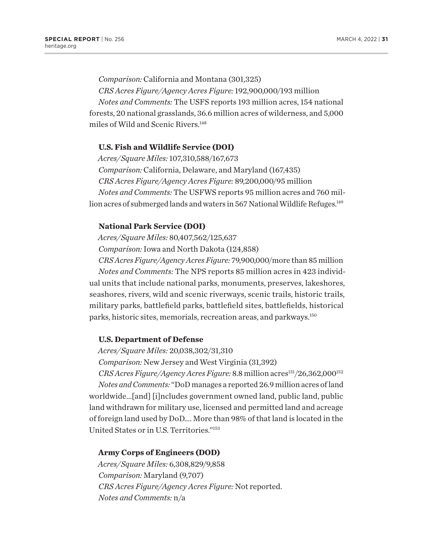<span id="page-33-0"></span>*Comparison:* California and Montana (301,325) *CRS Acres Figure/Agency Acres Figure:* 192,900,000/193 million *Notes and Comments:* The USFS reports 193 million acres, 154 national forests, 20 national grasslands, 36.6 million acres of wilderness, and 5,000 miles of Wild and Scenic Rivers[.148](#page-50-0)

# **U.S. Fish and Wildlife Service (DOI)**

*Acres/Square Miles:* 107,310,588/167,673 *Comparison:* California, Delaware, and Maryland (167,435) *CRS Acres Figure/Agency Acres Figure:* 89,200,000/95 million *Notes and Comments:* The USFWS reports 95 million acres and 760 million acres of submerged lands and waters in 567 National Wildlife Refuges.<sup>149</sup>

## **National Park Service (DOI)**

*Acres/Square Miles:* 80,407,562/125,637

*Comparison:* Iowa and North Dakota (124,858)

*CRS Acres Figure/Agency Acres Figure:* 79,900,000/more than 85 million *Notes and Comments:* The NPS reports 85 million acres in 423 individual units that include national parks, monuments, preserves, lakeshores, seashores, rivers, wild and scenic riverways, scenic trails, historic trails, military parks, battlefield parks, battlefield sites, battlefields, historical parks, historic sites, memorials, recreation areas, and parkways.[150](#page-50-0)

#### **U.S. Department of Defense**

*Acres/Square Miles:* 20,038,302/31,310

*Comparison:* New Jersey and West Virginia (31,392)

*CRS Acres Figure/Agency Acres Figure:* 8.8 million acres<sup>151</sup>/26,362,000<sup>[152](#page-50-0)</sup> *Notes and Comments:* "DoD manages a reported 26.9 million acres of land worldwide…[and] [i]ncludes government owned land, public land, public land withdrawn for military use, licensed and permitted land and acreage of foreign land used by DoD…. More than 98% of that land is located in the United States or in U.S. Territories.["153](#page-50-0)

# **Army Corps of Engineers (DOD)**

*Acres/Square Miles:* 6,308,829/9,858 *Comparison:* Maryland (9,707) *CRS Acres Figure/Agency Acres Figure:* Not reported. *Notes and Comments:* n/a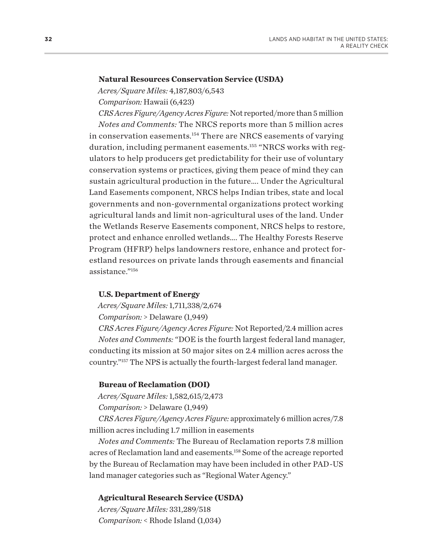#### <span id="page-34-0"></span>**Natural Resources Conservation Service (USDA)**

*Acres/Square Miles:* 4,187,803/6,543

*Comparison:* Hawaii (6,423)

*CRS Acres Figure/Agency Acres Figure:* Not reported/more than 5 million *Notes and Comments:* The NRCS reports more than 5 million acres in conservation easements.[154](#page-50-0) There are NRCS easements of varying duration, including permanent easements.[155](#page-50-0) "NRCS works with regulators to help producers get predictability for their use of voluntary conservation systems or practices, giving them peace of mind they can sustain agricultural production in the future…. Under the Agricultural Land Easements component, NRCS helps Indian tribes, state and local governments and non-governmental organizations protect working agricultural lands and limit non-agricultural uses of the land. Under the Wetlands Reserve Easements component, NRCS helps to restore, protect and enhance enrolled wetlands…. The Healthy Forests Reserve Program (HFRP) helps landowners restore, enhance and protect forestland resources on private lands through easements and financial assistance.["156](#page-50-0)

#### **U.S. Department of Energy**

*Acres/Square Miles:* 1,711,338/2,674

*Comparison:* > Delaware (1,949)

*CRS Acres Figure/Agency Acres Figure:* Not Reported/2.4 million acres *Notes and Comments:* "DOE is the fourth largest federal land manager, conducting its mission at 50 major sites on 2.4 million acres across the country."[157](#page-50-0) The NPS is actually the fourth-largest federal land manager.

### **Bureau of Reclamation (DOI)**

*Acres/Square Miles:* 1,582,615/2,473

*Comparison:* > Delaware (1,949)

*CRS Acres Figure/Agency Acres Figure:* approximately 6 million acres/7.8 million acres including 1.7 million in easements

*Notes and Comments:* The Bureau of Reclamation reports 7.8 million acres of Reclamation land and easements.[158](#page-50-0) Some of the acreage reported by the Bureau of Reclamation may have been included in other PAD-US land manager categories such as "Regional Water Agency."

#### **Agricultural Research Service (USDA)**

*Acres/Square Miles:* 331,289/518 *Comparison:* < Rhode Island (1,034)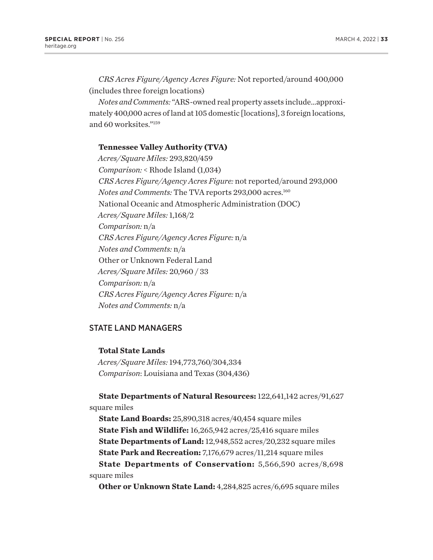<span id="page-35-0"></span>*CRS Acres Figure/Agency Acres Figure:* Not reported/around 400,000 (includes three foreign locations)

*Notes and Comments:* "ARS-owned real property assets include…approximately 400,000 acres of land at 105 domestic [locations], 3 foreign locations, and 60 worksites."[159](#page-50-0)

# **Tennessee Valley Authority (TVA)**

*Acres/Square Miles:* 293,820/459 *Comparison:* < Rhode Island (1,034) *CRS Acres Figure/Agency Acres Figure:* not reported/around 293,000 *Notes and Comments:* The TVA reports 293,000 acres.[160](#page-50-0) National Oceanic and Atmospheric Administration (DOC) *Acres/Square Miles:* 1,168/2 *Comparison:* n/a *CRS Acres Figure/Agency Acres Figure:* n/a *Notes and Comments:* n/a Other or Unknown Federal Land *Acres/Square Miles:* 20,960 / 33 *Comparison:* n/a *CRS Acres Figure/Agency Acres Figure:* n/a *Notes and Comments:* n/a

# STATE LAND MANAGERS

**Total State Lands**

*Acres/Square Miles:* 194,773,760/304,334 *Comparison*: Louisiana and Texas (304,436)

**State Departments of Natural Resources:** 122,641,142 acres/91,627 square miles

**State Land Boards:** 25,890,318 acres/40,454 square miles **State Fish and Wildlife:** 16,265,942 acres/25,416 square miles **State Departments of Land:** 12,948,552 acres/20,232 square miles **State Park and Recreation:** 7,176,679 acres/11,214 square miles **State Departments of Conservation:** 5,566,590 acres/8,698 square miles

**Other or Unknown State Land:** 4,284,825 acres/6,695 square miles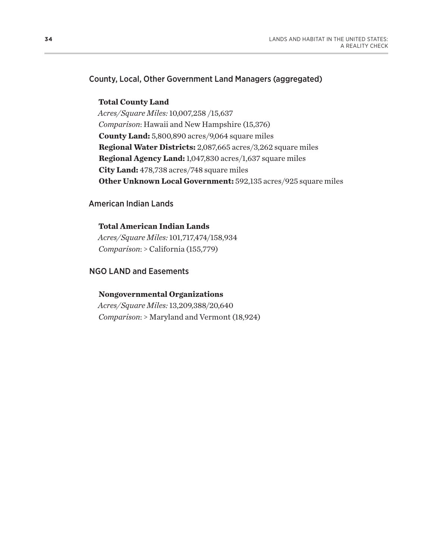# County, Local, Other Government Land Managers (aggregated)

## **Total County Land**

*Acres/Square Miles:* 10,007,258 /15,637 *Comparison*: Hawaii and New Hampshire (15,376) **County Land:** 5,800,890 acres/9,064 square miles **Regional Water Districts:** 2,087,665 acres/3,262 square miles **Regional Agency Land:** 1,047,830 acres/1,637 square miles **City Land:** 478,738 acres/748 square miles **Other Unknown Local Government:** 592,135 acres/925 square miles

# American Indian Lands

# **Total American Indian Lands** *Acres/Square Miles:* 101,717,474/158,934 *Comparison*: > California (155,779)

# NGO LAND and Easements

# **Nongovernmental Organizations**

*Acres/Square Miles:* 13,209,388/20,640 *Comparison*: > Maryland and Vermont (18,924)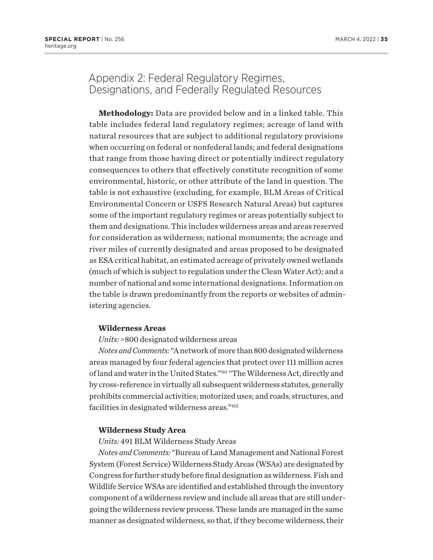# <span id="page-37-0"></span>Appendix 2: Federal Regulatory Regimes, Designations, and Federally Regulated Resources

**Methodology:** Data are provided below and in a linked table. This table includes federal land regulatory regimes; acreage of land with natural resources that are subject to additional regulatory provisions when occurring on federal or nonfederal lands; and federal designations that range from those having direct or potentially indirect regulatory consequences to others that effectively constitute recognition of some environmental, historic, or other attribute of the land in question. The table is not exhaustive (excluding, for example, BLM Areas of Critical Environmental Concern or USFS Research Natural Areas) but captures some of the important regulatory regimes or areas potentially subject to them and designations. This includes wilderness areas and areas reserved for consideration as wilderness; national monuments; the acreage and river miles of currently designated and areas proposed to be designated as ESA critical habitat, an estimated acreage of privately owned wetlands (much of which is subject to regulation under the Clean Water Act); and a number of national and some international designations. Information on the table is drawn predominantly from the reports or websites of administering agencies.

#### **Wilderness Areas**

#### *Units:* >800 designated wilderness areas

*Notes and Comments:* "A network of more than 800 designated wilderness areas managed by four federal agencies that protect over 111 million acres of land and water in the United States."[161](#page-50-0) "The Wilderness Act, directly and by cross-reference in virtually all subsequent wilderness statutes, generally prohibits commercial activities; motorized uses; and roads, structures, and facilities in designated wilderness areas.["162](#page-50-0)

## **Wilderness Study Area**

#### *Units:* 491 BLM Wilderness Study Areas

*Notes and Comments:* "Bureau of Land Management and National Forest System (Forest Service) Wilderness Study Areas (WSAs) are designated by Congress for further study before final designation as wilderness. Fish and Wildlife Service WSAs are identified and established through the inventory component of a wilderness review and include all areas that are still undergoing the wilderness review process. These lands are managed in the same manner as designated wilderness, so that, if they become wilderness, their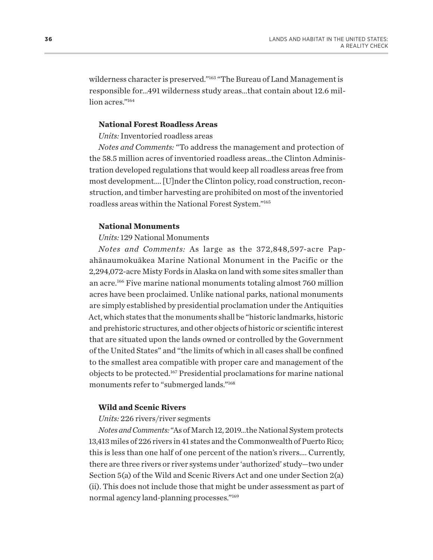<span id="page-38-0"></span>wilderness character is preserved."[163](#page-50-0) "The Bureau of Land Management is responsible for…491 wilderness study areas…that contain about 12.6 million acres."<sup>164</sup>

#### **National Forest Roadless Areas**

*Units:* Inventoried roadless areas

*Notes and Comments:* "To address the management and protection of the 58.5 million acres of inventoried roadless areas…the Clinton Administration developed regulations that would keep all roadless areas free from most development…. [U]nder the Clinton policy, road construction, reconstruction, and timber harvesting are prohibited on most of the inventoried roadless areas within the National Forest System.["165](#page-50-0)

### **National Monuments**

*Units:* 129 National Monuments

*Notes and Comments:* As large as the 372,848,597-acre Papahānaumokuākea Marine National Monument in the Pacific or the 2,294,072-acre Misty Fords in Alaska on land with some sites smaller than an acre[.166](#page-50-0) Five marine national monuments totaling almost 760 million acres have been proclaimed. Unlike national parks, national monuments are simply established by presidential proclamation under the Antiquities Act, which states that the monuments shall be "historic landmarks, historic and prehistoric structures, and other objects of historic or scientific interest that are situated upon the lands owned or controlled by the Government of the United States" and "the limits of which in all cases shall be confined to the smallest area compatible with proper care and management of the objects to be protected[.167](#page-50-0) Presidential proclamations for marine national monuments refer to "submerged lands."[168](#page-50-0)

#### **Wild and Scenic Rivers**

#### *Units:* 226 rivers/river segments

*Notes and Comments:* "As of March 12, 2019…the National System protects 13,413 miles of 226 rivers in 41 states and the Commonwealth of Puerto Rico; this is less than one half of one percent of the nation's rivers…. Currently, there are three rivers or river systems under 'authorized' study—two under Section 5(a) of the Wild and Scenic Rivers Act and one under Section 2(a) (ii). This does not include those that might be under assessment as part of normal agency land-planning processes.["169](#page-50-0)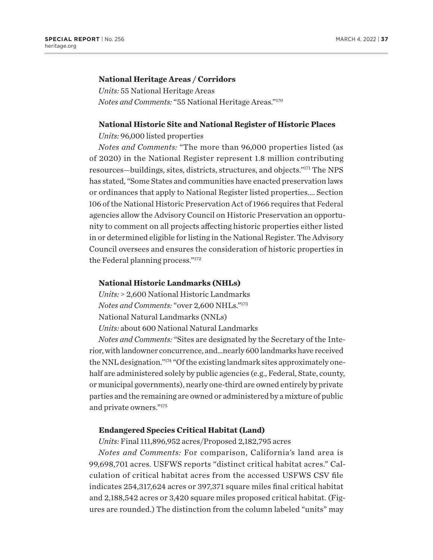#### <span id="page-39-0"></span>**National Heritage Areas / Corridors**

*Units:* 55 National Heritage Areas *Notes and Comments:* "55 National Heritage Areas.["170](#page-50-0)

#### **National Historic Site and National Register of Historic Places**

*Units:* 96,000 listed properties

*Notes and Comments:* "The more than 96,000 properties listed (as of 2020) in the National Register represent 1.8 million contributing resources—buildings, sites, districts, structures, and objects.["171](#page-50-0) The NPS has stated, "Some States and communities have enacted preservation laws or ordinances that apply to National Register listed properties…. Section 106 of the National Historic Preservation Act of 1966 requires that Federal agencies allow the Advisory Council on Historic Preservation an opportunity to comment on all projects affecting historic properties either listed in or determined eligible for listing in the National Register. The Advisory Council oversees and ensures the consideration of historic properties in the Federal planning process."[172](#page-50-0)

#### **National Historic Landmarks (NHLs)**

*Units:* > 2,600 National Historic Landmarks *Notes and Comments:* "over 2,600 NHLs.["173](#page-50-0) National Natural Landmarks (NNLs) *Units:* about 600 National Natural Landmarks

*Notes and Comments:* "Sites are designated by the Secretary of the Interior, with landowner concurrence, and…nearly 600 landmarks have received the NNL designation."[174](#page-50-0) "Of the existing landmark sites approximately onehalf are administered solely by public agencies (e.g., Federal, State, county, or municipal governments), nearly one-third are owned entirely by private parties and the remaining are owned or administered by a mixture of public and private owners.["175](#page-50-0)

#### **Endangered Species Critical Habitat (Land)**

*Units:* Final 111,896,952 acres/Proposed 2,182,795 acres

*Notes and Comments:* For comparison, California's land area is 99,698,701 acres. USFWS reports "distinct critical habitat acres." Calculation of critical habitat acres from the accessed USFWS CSV file indicates 254,317,624 acres or 397,371 square miles final critical habitat and 2,188,542 acres or 3,420 square miles proposed critical habitat. (Figures are rounded.) The distinction from the column labeled "units" may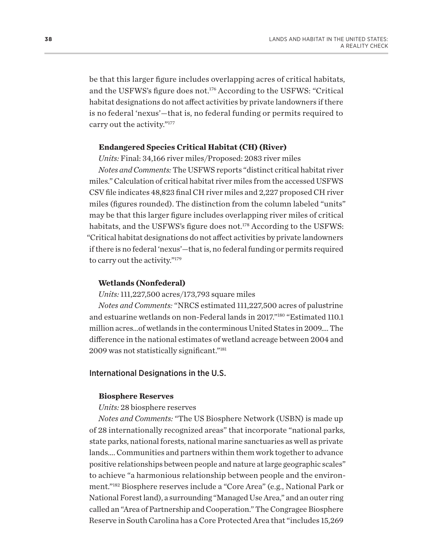<span id="page-40-0"></span>be that this larger figure includes overlapping acres of critical habitats, and the USFWS's figure does not[.176](#page-50-0) According to the USFWS: "Critical habitat designations do not affect activities by private landowners if there is no federal 'nexus'—that is, no federal funding or permits required to carry out the activity."[177](#page-51-0)

### **Endangered Species Critical Habitat (CH) (River)**

*Units:* Final: 34,166 river miles/Proposed: 2083 river miles

*Notes and Comments:* The USFWS reports "distinct critical habitat river miles." Calculation of critical habitat river miles from the accessed USFWS CSV file indicates 48,823 final CH river miles and 2,227 proposed CH river miles (figures rounded). The distinction from the column labeled "units" may be that this larger figure includes overlapping river miles of critical habitats, and the USFWS's figure does not.<sup>178</sup> According to the USFWS: "Critical habitat designations do not affect activities by private landowners if there is no federal 'nexus'—that is, no federal funding or permits required to carry out the activity.["179](#page-51-0)

#### **Wetlands (Nonfederal)**

*Units:* 111,227,500 acres/173,793 square miles

*Notes and Comments:* "NRCS estimated 111,227,500 acres of palustrine and estuarine wetlands on non-Federal lands in 2017."[180](#page-51-0) "Estimated 110.1 million acres…of wetlands in the conterminous United States in 2009…. The difference in the national estimates of wetland acreage between 2004 and 2009 was not statistically significant."[181](#page-51-0)

## International Designations in the U.S.

#### **Biosphere Reserves**

#### *Units:* 28 biosphere reserves

*Notes and Comments:* "The US Biosphere Network (USBN) is made up of 28 internationally recognized areas" that incorporate "national parks, state parks, national forests, national marine sanctuaries as well as private lands…. Communities and partners within them work together to advance positive relationships between people and nature at large geographic scales" to achieve "a harmonious relationship between people and the environment."[182](#page-51-0) Biosphere reserves include a "Core Area" (e.g., National Park or National Forest land), a surrounding "Managed Use Area," and an outer ring called an "Area of Partnership and Cooperation." The Congragee Biosphere Reserve in South Carolina has a Core Protected Area that "includes 15,269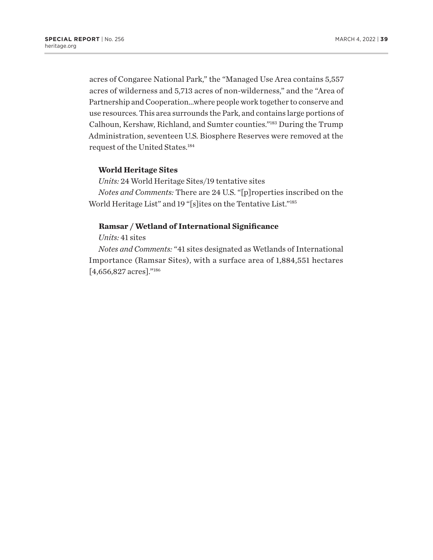<span id="page-41-0"></span>acres of Congaree National Park," the "Managed Use Area contains 5,557 acres of wilderness and 5,713 acres of non-wilderness," and the "Area of Partnership and Cooperation…where people work together to conserve and use resources. This area surrounds the Park, and contains large portions of Calhoun, Kershaw, Richland, and Sumter counties.["183](#page-51-0) During the Trump Administration, seventeen U.S. Biosphere Reserves were removed at the request of the United States[.184](#page-51-0)

# **World Heritage Sites**

*Units:* 24 World Heritage Sites/19 tentative sites

*Notes and Comments:* There are 24 U.S. "[p]roperties inscribed on the World Heritage List" and 19 "[s]ites on the Tentative List.["185](#page-51-0)

## **Ramsar / Wetland of International Significance**

*Units:* 41 sites

*Notes and Comments:* "41 sites designated as Wetlands of International Importance (Ramsar Sites), with a surface area of 1,884,551 hectares [4,656,827 acres].["186](#page-51-0)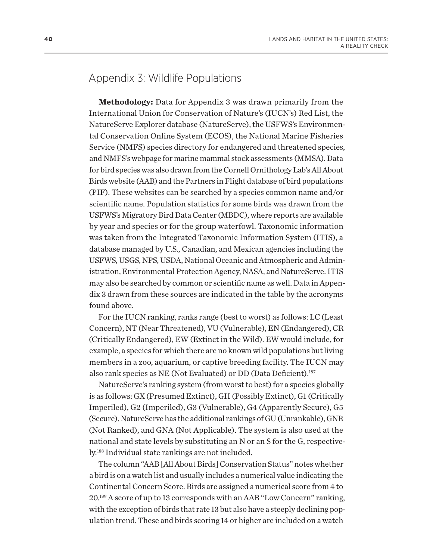# <span id="page-42-0"></span>Appendix 3: Wildlife Populations

**Methodology:** Data for Appendix 3 was drawn primarily from the International Union for Conservation of Nature's (IUCN's) Red List, the NatureServe Explorer database (NatureServe), the USFWS's Environmental Conservation Online System (ECOS), the National Marine Fisheries Service (NMFS) species directory for endangered and threatened species, and NMFS's webpage for marine mammal stock assessments (MMSA). Data for bird species was also drawn from the Cornell Ornithology Lab's All About Birds website (AAB) and the Partners in Flight database of bird populations (PIF). These websites can be searched by a species common name and/or scientific name. Population statistics for some birds was drawn from the USFWS's Migratory Bird Data Center (MBDC), where reports are available by year and species or for the group waterfowl. Taxonomic information was taken from the Integrated Taxonomic Information System (ITIS), a database managed by U.S., Canadian, and Mexican agencies including the USFWS, USGS, NPS, USDA, National Oceanic and Atmospheric and Administration, Environmental Protection Agency, NASA, and NatureServe. ITIS may also be searched by common or scientific name as well. Data in Appendix 3 drawn from these sources are indicated in the table by the acronyms found above.

For the IUCN ranking, ranks range (best to worst) as follows: LC (Least Concern), NT (Near Threatened), VU (Vulnerable), EN (Endangered), CR (Critically Endangered), EW (Extinct in the Wild). EW would include, for example, a species for which there are no known wild populations but living members in a zoo, aquarium, or captive breeding facility. The IUCN may also rank species as NE (Not Evaluated) or DD (Data Deficient).<sup>[187](#page-51-0)</sup>

NatureServe's ranking system (from worst to best) for a species globally is as follows: GX (Presumed Extinct), GH (Possibly Extinct), G1 (Critically Imperiled), G2 (Imperiled), G3 (Vulnerable), G4 (Apparently Secure), G5 (Secure). NatureServe has the additional rankings of GU (Unrankable), GNR (Not Ranked), and GNA (Not Applicable). The system is also used at the national and state levels by substituting an N or an S for the G, respectively[.188](#page-51-0) Individual state rankings are not included.

The column "AAB [All About Birds] Conservation Status" notes whether a bird is on a watch list and usually includes a numerical value indicating the Continental Concern Score. Birds are assigned a numerical score from 4 to 20.[189](#page-51-0) A score of up to 13 corresponds with an AAB "Low Concern" ranking, with the exception of birds that rate 13 but also have a steeply declining population trend. These and birds scoring 14 or higher are included on a watch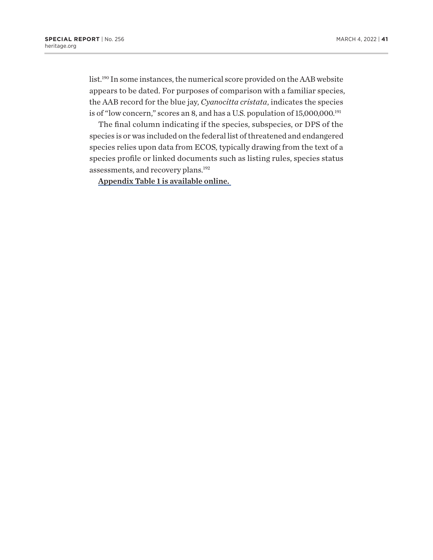<span id="page-43-0"></span>list[.190](#page-51-0) In some instances, the numerical score provided on the AAB website appears to be dated. For purposes of comparison with a familiar species, the AAB record for the blue jay, *Cyanocitta cristata*, indicates the species is of "low concern," scores an 8, and has a U.S. population of 15,000,000.<sup>[191](#page-51-0)</sup>

The final column indicating if the species, subspecies, or DPS of the species is or was included on the federal list of threatened and endangered species relies upon data from ECOS, typically drawing from the text of a species profile or linked documents such as listing rules, species status assessments, and recovery plans.<sup>192</sup>

[Appendix Table 1 is available online.](http://thf-reports.s3.amazonaws.com/2022/SR256_appendix-table-1.pdf)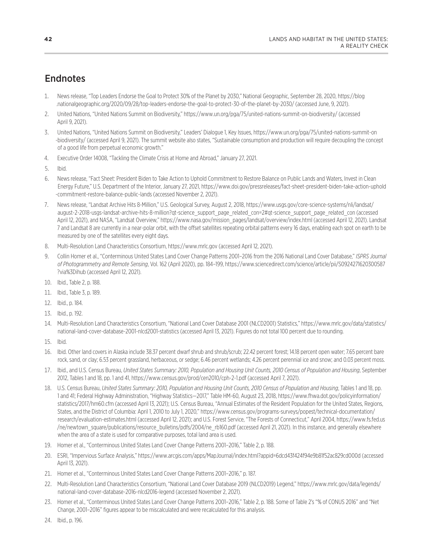# <span id="page-44-0"></span>**Endnotes**

- [1.](#page-4-0) News release, "Top Leaders Endorse the Goal to Protect 30% of the Planet by 2030," National Geographic, September 28, 2020, https://blog .nationalgeographic.org/2020/09/28/top-leaders-endorse-the-goal-to-protect-30-of-the-planet-by-2030/ (accessed June, 9, 2021).
- [2](#page-4-0). United Nations, "United Nations Summit on Biodiversity," https://www.un.org/pga/75/united-nations-summit-on-biodiversity/ (accessed April 9, 2021).
- [3](#page-5-0). United Nations, "United Nations Summit on Biodiversity," Leaders' Dialogue 1, Key Issues, https://www.un.org/pga/75/united-nations-summit-on -biodiversity/ (accessed April 9, 2021). The summit website also states, "Sustainable consumption and production will require decoupling the concept of a good life from perpetual economic growth."
- [4.](#page-5-0) Executive Order 14008, "Tackling the Climate Crisis at Home and Abroad," January 27, 2021.
- [5](#page-5-0). Ibid.
- [6](#page-5-0). News release, "Fact Sheet: President Biden to Take Action to Uphold Commitment to Restore Balance on Public Lands and Waters, Invest in Clean Energy Future," U.S. Department of the Interior, January 27, 2021, https://www.doi.gov/pressreleases/fact-sheet-president-biden-take-action-uphold -commitment-restore-balance-public-lands (accessed November 2, 2021).
- [7.](#page-6-0) News release, "Landsat Archive Hits 8-Million," U.S. Geological Survey, August 2, 2018, https://www.usgs.gov/core-science-systems/nli/landsat/ august-2-2018-usgs-landsat-archive-hits-8-million?qt-science\_support\_page\_related\_con=2#qt-science\_support\_page\_related\_con (accessed April 12, 2021), and NASA, "Landsat Overview," https://www.nasa.gov/mission\_pages/landsat/overview/index.html (accessed April 12, 2021). Landsat 7 and Landsat 8 are currently in a near-polar orbit, with the offset satellites repeating orbital patterns every 16 days, enabling each spot on earth to be measured by one of the satellites every eight days.
- [8](#page-6-0). Multi-Resolution Land Characteristics Consortium, https://www.mrlc.gov (accessed April 12, 2021).
- [9](#page-6-0). Collin Homer et al., "Conterminous United States Land Cover Change Patterns 2001–2016 from the 2016 National Land Cover Database," *ISPRS Journal of Photogrammetry and Remote Sensing*, Vol. 162 (April 2020), pp. 184–199, https://www.sciencedirect.com/science/article/pii/S0924271620300587 ?via%3Dihub (accessed April 12, 2021).
- [10](#page-6-0). Ibid., Table 2, p. 188.
- [11](#page-6-0). Ibid., Table 3, p. 189.
- [12](#page-6-0). Ibid., p. 184.
- [13](#page-8-0). Ibid., p. 192.
- [14](#page-9-0). Multi-Resolution Land Characteristics Consortium, "National Land Cover Database 2001 (NLCD2001) Statistics," https://www.mrlc.gov/data/statistics/ national-land-cover-database-2001-nlcd2001-statistics (accessed April 13, 2021). Figures do not total 100 percent due to rounding.
- [15](#page-9-0). Ibid.
- [16](#page-9-0). Ibid. Other land covers in Alaska include 38.37 percent dwarf shrub and shrub/scrub; 22.42 percent forest; 14.18 percent open water; 7.65 percent bare rock, sand, or clay; 6.53 percent grassland, herbaceous, or sedge; 6.46 percent wetlands; 4.26 percent perennial ice and snow; and 0.03 percent moss.
- [17](#page-9-0). Ibid., and U.S. Census Bureau, *United States Summary: 2010, Population and Housing Unit Counts, 2010 Census of Population and Housing*, September 2012, Tables 1 and 18, pp. 1 and 41, https://www.census.gov/prod/cen2010/cph-2-1.pdf (accessed April 7, 2021).
- [18](#page-9-0). U.S. Census Bureau, *United States Summary: 2010, Population and Housing Unit Counts, 2010 Census of Population and Housing*, Tables 1 and 18, pp. 1 and 41; Federal Highway Administration, "Highway Statistics—2017," Table HM-60, August 23, 2018, https://www.fhwa.dot.gov/policyinformation/ statistics/2017/hm60.cfm (accessed April 13, 2021); U.S. Census Bureau, "Annual Estimates of the Resident Population for the United States, Regions, States, and the District of Columbia: April 1, 2010 to July 1, 2020," https://www.census.gov/programs-surveys/popest/technical-documentation/ research/evaluation-estimates.html (accessed April 12, 2021); and U.S. Forest Service, "The Forests of Connecticut," April 2004, https://www.fs.fed.us /ne/newtown\_square/publications/resource\_bulletins/pdfs/2004/ne\_rb160.pdf (accessed April 21, 2021). In this instance, and generally elsewhere when the area of a state is used for comparative purposes, total land area is used.
- [19](#page-9-0). Homer et al., "Conterminous United States Land Cover Change Patterns 2001–2016," Table 2, p. 188.
- [20](#page-9-0). ESRI, "Impervious Surface Analysis," https://www.arcgis.com/apps/MapJournal/index.html?appid=6dcd43f424f94e9b81f52ac829cd000d (accessed April 13, 2021).
- [21](#page-9-0). Homer et al., "Conterminous United States Land Cover Change Patterns 2001–2016," p. 187.
- [22](#page-11-0). Multi-Resolution Land Characteristics Consortium, "National Land Cover Database 2019 (NLCD2019) Legend," https://www.mrlc.gov/data/legends/ national-land-cover-database-2016-nlcd2016-legend (accessed November 2, 2021).
- [23](#page-11-0). Homer et al., "Conterminous United States Land Cover Change Patterns 2001–2016," Table 2, p. 188. Some of Table 2's "% of CONUS 2016" and "Net Change, 2001–2016" figures appear to be miscalculated and were recalculated for this analysis.

[24](#page-11-0). Ibid., p. 196.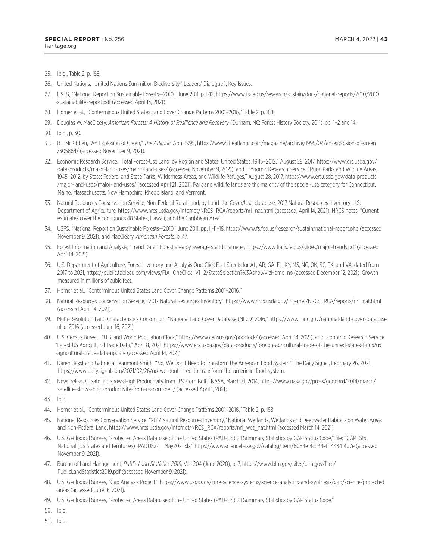- <span id="page-45-0"></span>[25](#page-11-0). Ibid., Table 2, p. 188.
- [26](#page-11-0). United Nations, "United Nations Summit on Biodiversity," Leaders' Dialogue 1, Key Issues.
- [27](#page-11-0). USFS, "National Report on Sustainable Forests—2010," June 2011, p. I-12, https://www.fs.fed.us/research/sustain/docs/national-reports/2010/2010 -sustainability-report.pdf (accessed April 13, 2021).
- [28](#page-11-0). Homer et al., "Conterminous United States Land Cover Change Patterns 2001–2016," Table 2, p. 188.
- [29](#page-11-0). Douglas W. MacCleery, *American Forests: A History of Resilience and Recovery* (Durham, NC: Forest History Society, 2011), pp. 1–2 and 14.
- [30.](#page-11-0) Ibid., p. 30.
- [31.](#page-12-0) Bill McKibben, "An Explosion of Green," *The Atlantic*, April 1995, https://www.theatlantic.com/magazine/archive/1995/04/an-explosion-of-green /305864/ (accessed November 9, 2021).
- [32.](#page-12-0) Economic Research Service, "Total Forest-Use Land, by Region and States, United States, 1945–2012," August 28, 2017, https://www.ers.usda.gov/ data-products/major-land-uses/major-land-uses/ (accessed November 9, 2021), and Economic Research Service, "Rural Parks and Wildlife Areas, 1945–2012, by State: Federal and State Parks, Wilderness Areas, and Wildlife Refuges," August 28, 2017, https://www.ers.usda.gov/data-products /major-land-uses/major-land-uses/ (accessed April 21, 2021). Park and wildlife lands are the majority of the special-use category for Connecticut, Maine, Massachusetts, New Hampshire, Rhode Island, and Vermont.
- [33.](#page-12-0) Natural Resources Conservation Service, Non-Federal Rural Land, by Land Use Cover/Use, database, 2017 Natural Resources Inventory, U.S. Department of Agriculture, https://www.nrcs.usda.gov/Internet/NRCS\_RCA/reports/nri\_nat.html (accessed, April 14, 2021). NRCS notes, "Current estimates cover the contiguous 48 States, Hawaii, and the Caribbean Area."
- [34.](#page-12-0) USFS, "National Report on Sustainable Forests—2010," June 2011, pp. II-11–18, https://www.fs.fed.us/research/sustain/national-report.php (accessed November 9, 2021), and MacCleery, *American Forests*, p. 47.
- [35.](#page-12-0) Forest Information and Analysis, "Trend Data," Forest area by average stand diameter, https://www.fia.fs.fed.us/slides/major-trends.pdf (accessed April 14, 2021).
- [36.](#page-12-0) U.S. Department of Agriculture, Forest Inventory and Analysis One-Click Fact Sheets for AL, AR, GA, FL, KY, MS, NC, OK, SC, TX, and VA, dated from 2017 to 2021, https://public.tableau.com/views/FIA\_OneClick\_V1\_2/StateSelection?%3AshowVizHome=no (accessed December 12, 2021). Growth measured in millions of cubic feet.
- [37.](#page-12-0) Homer et al., "Conterminous United States Land Cover Change Patterns 2001–2016."
- [38.](#page-12-0) Natural Resources Conservation Service, "2017 Natural Resources Inventory," https://www.nrcs.usda.gov/Internet/NRCS\_RCA/reports/nri\_nat.html (accessed April 14, 2021).
- [39.](#page-13-0) Multi-Resolution Land Characteristics Consortium, "National Land Cover Database (NLCD) 2016," https://www.mrlc.gov/national-land-cover-database -nlcd-2016 (accessed June 16, 2021).
- [40.](#page-13-0) U.S. Census Bureau, "U.S. and World Population Clock," https://www.census.gov/popclock/ (accessed April 14, 2021), and Economic Research Service, "Latest US Agricultural Trade Data," April 8, 2021, https://www.ers.usda.gov/data-products/foreign-agricultural-trade-of-the-united-states-fatus/us -agricultural-trade-data-update (accessed April 14, 2021).
- [41.](#page-13-0) Daren Bakst and Gabriella Beaumont Smith, "No, We Don't Need to Transform the American Food System," The Daily Signal, February 26, 2021, https://www.dailysignal.com/2021/02/26/no-we-dont-need-to-transform-the-american-food-system.
- [42.](#page-13-0) News release, "Satellite Shows High Productivity from U.S. Corn Belt," NASA, March 31, 2014, https://www.nasa.gov/press/goddard/2014/march/ satellite-shows-high-productivity-from-us-corn-belt/ (accessed April 1, 2021).
- [43.](#page-13-0) Ibid.
- [44.](#page-13-0) Homer et al., "Conterminous United States Land Cover Change Patterns 2001–2016," Table 2, p. 188.
- [45.](#page-13-0) National Resources Conservation Service, "2017 Natural Resources Inventory," National Wetlands, Wetlands and Deepwater Habitats on Water Areas and Non-Federal Land, https://www.nrcs.usda.gov/Internet/NRCS\_RCA/reports/nri\_wet\_nat.html (accessed March 14, 2021).
- [46.](#page-14-0) U.S. Geological Survey, "Protected Areas Database of the United States (PAD-US) 2.1 Summary Statistics by GAP Status Code," file: "GAP\_Sts\_ National (US States and Territories) PADUS2-1 May2021.xls," https://www.sciencebase.gov/catalog/item/6064e14cd34eff1443414d7e (accessed November 9, 2021).
- [47.](#page-14-0) Bureau of Land Management, *Public Land Statistics 2019*, Vol. 204 (June 2020), p. 7, https://www.blm.gov/sites/blm.gov/files/ PublicLandStatistics2019.pdf (accessed November 9, 2021).
- [48.](#page-14-0) U.S. Geological Survey, "Gap Analysis Project," https://www.usgs.gov/core-science-systems/science-analytics-and-synthesis/gap/science/protected -areas (accessed June 16, 2021).
- [49.](#page-14-0) U.S. Geological Survey, "Protected Areas Database of the United States (PAD-US) 2.1 Summary Statistics by GAP Status Code."

[50](#page-14-0). Ibid.

[51](#page-14-0). Ibid.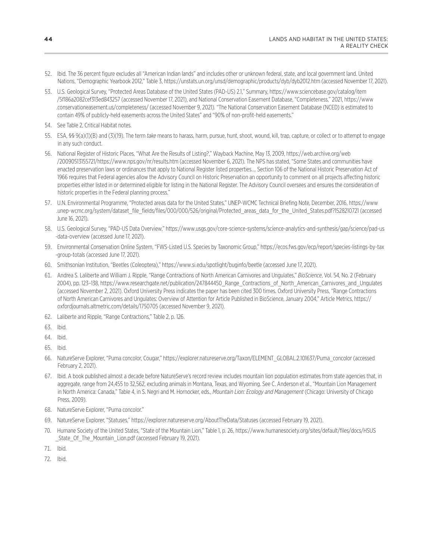- <span id="page-46-0"></span>[52](#page-14-0). Ibid. The 36 percent figure excludes all "American Indian lands" and includes other or unknown federal, state, and local government land. United Nations, "Demographic Yearbook 2012," Table 3, https://unstats.un.org/unsd/demographic/products/dyb/dyb2012.htm (accessed November 17, 2021).
- [53](#page-14-0). U.S. Geological Survey, "Protected Areas Database of the United States (PAD-US) 2.1," Summary, https://www.sciencebase.gov/catalog/item /5f186a2082cef313ed843257 (accessed November 17, 2021), and National Conservation Easement Database, "Completeness," 2021, https://www .conservationeasement.us/completeness/ (accessed November 9, 2021). "The National Conservation Easement Database (NCED) is estimated to contain 49% of publicly-held easements across the United States" and "90% of non-profit-held easements."
- [54](#page-15-0). See Table 2, Critical Habitat notes.
- [55](#page-15-0). ESA, §§ 9(a)(1)(B) and (3)(19). The term *take* means to harass, harm, pursue, hunt, shoot, wound, kill, trap, capture, or collect or to attempt to engage in any such conduct.
- [56](#page-15-0). National Register of Historic Places, "What Are the Results of Listing?," Wayback Machine, May 13, 2009, https://web.archive.org/web /20090513155721/https://www.nps.gov/nr/results.htm (accessed November 6, 2021). The NPS has stated, "Some States and communities have enacted preservation laws or ordinances that apply to National Register listed properties…. Section 106 of the National Historic Preservation Act of 1966 requires that Federal agencies allow the Advisory Council on Historic Preservation an opportunity to comment on all projects affecting historic properties either listed in or determined eligible for listing in the National Register. The Advisory Council oversees and ensures the consideration of historic properties in the Federal planning process."
- [57](#page-15-0). U.N. Environmental Programme, "Protected areas data for the United States," UNEP-WCMC Technical Briefing Note, December, 2016, https://www .unep-wcmc.org/system/dataset\_file\_fields/files/000/000/526/original/Protected\_areas\_data\_for\_the\_United\_States.pdf?1528210721 (accessed June 16, 2021).
- [58](#page-15-0). U.S. Geological Survey, "PAD-US Data Overview," https://www.usgs.gov/core-science-systems/science-analytics-and-synthesis/gap/science/pad-us -data-overview (accessed June 17, 2021).
- [59](#page-16-0). Environmental Conservation Online System, "FWS-Listed U.S. Species by Taxonomic Group," https://ecos.fws.gov/ecp/report/species-listings-by-tax -group-totals (accessed June 17, 2021).
- [60](#page-16-0). Smithsonian Institution, "Beetles (Coleoptera)," https://www.si.edu/spotlight/buginfo/beetle (accessed June 17, 2021).
- [61](#page-16-0). Andrea S. Laliberte and William J. Ripple, "Range Contractions of North American Carnivores and Ungulates," *BioScience*, Vol. 54, No. 2 (February 2004), pp. 123–138, https://www.researchgate.net/publication/247844450\_Range\_Contractions\_of\_North\_American\_Carnivores\_and\_Ungulates (accessed November 2, 2021). Oxford University Press indicates the paper has been cited 300 times. Oxford University Press, "Range Contractions of North American Carnivores and Ungulates: Overview of Attention for Article Published in BioScience, January 2004," Article Metrics, https:// oxfordjournals.altmetric.com/details/1750705 (accessed November 9, 2021).
- [62](#page-16-0). Laliberte and Ripple, "Range Contractions," Table 2, p. 126.
- [63](#page-16-0). Ibid.
- [64](#page-16-0). Ibid.
- [65](#page-16-0). Ibid.
- [66](#page-16-0). NatureServe Explorer, "Puma concolor, Cougar," https://explorer.natureserve.org/Taxon/ELEMENT\_GLOBAL.2.101637/Puma\_concolor (accessed February 2, 2021).
- [67](#page-18-0). Ibid. A book published almost a decade before NatureServe's record review includes mountain lion population estimates from state agencies that, in aggregate, range from 24,455 to 32,562, excluding animals in Montana, Texas, and Wyoming. See C. Anderson et al., "Mountain Lion Management in North America: Canada," Table 4, in S. Negri and M. Hornocker, eds., *Mountain Lion: Ecology and Management* (Chicago: University of Chicago Press, 2009).
- [68](#page-18-0). NatureServe Explorer, "Puma concolor."
- [69](#page-18-0). NatureServe Explorer, "Statuses," https://explorer.natureserve.org/AboutTheData/Statuses (accessed February 19, 2021).
- [70.](#page-18-0) Humane Society of the United States, "State of the Mountain Lion," Table 1, p. 26, https://www.humanesociety.org/sites/default/files/docs/HSUS State\_Of\_The\_Mountain\_Lion.pdf (accessed February 19, 2021).
- [71.](#page-18-0) Ibid.
- [72.](#page-18-0) Ibid.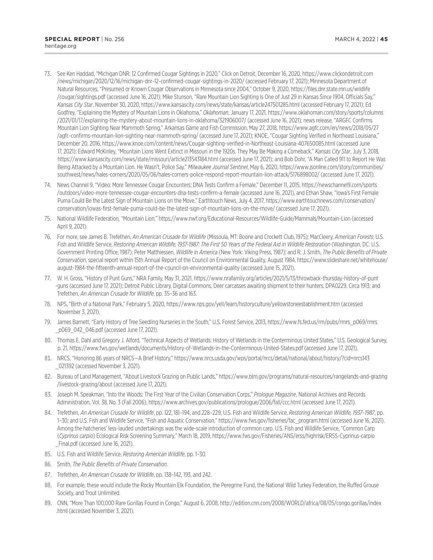- <span id="page-47-0"></span>[73.](#page-18-0) See Ken Haddad, "Michigan DNR: 12 Confirmed Cougar Sightings in 2020," Click on Detroit, December 16, 2020, https://www.clickondetroit.com /news/michigan/2020/12/16/michigan-dnr-12-confirmed-cougar-sightings-in-2020/ (accessed February 17, 2021); Minnesota Department of Natural Resources, "Presumed or Known Cougar Observations in Minnesota since 2004," October 9, 2020, https://files.dnr.state.mn.us/wildlife /cougar/sightings.pdf (accessed June 16, 2021); Mike Stunson, "Rare Mountain Lion Sighting Is One of Just 29 in Kansas Since 1904, Officials Say," *Kansas City Star*, November 30, 2020, https://www.kansascity.com/news/state/kansas/article247501285.html (accessed February 17, 2021); Ed Godfrey, "Explaining the Mystery of Mountain Lions in Oklahoma," *Oklahoman*, January 17, 2021, https://www.oklahoman.com/story/sports/columns /2021/01/17/explaining-the-mystery-about-mountain-lions-in-oklahoma/321906007/ (accessed June 16, 2021); news release, "ARGFC Confirms Mountain Lion Sighting Near Mammoth Spring," Arkansas Game and Fish Commission, May 27, 2018, https://www.agfc.com/en/news/2018/05/27 /agfc-confirms-mountain-lion-sighting-near-mammoth-spring/ (accessed June 17, 2021); KNOE, "Cougar Sighting Verified in Northeast Louisiana," December 20, 2016, https://www.knoe.com/content/news/Cougar-sighting-verified-in-Northeast-Louisiana-407650085.html (accessed June 17, 2021); Edward McKinley, "Mountain Lions Went Extinct in Missouri in the 1920s. They May Be Making a Comeback," *Kansas City Star*, July 3, 2018, https://www.kansascity.com/news/state/missouri/article213543184.html (accessed June 17, 2021); and Bob Dohr, "A Man Called 911 to Report He Was Being Attacked by a Mountain Lion. He Wasn't, Police Say," *Milwaukee Journal Sentinel*, May 6, 2020, https://www.jsonline.com/story/communities/ southwest/news/hales-corners/2020/05/06/hales-corners-police-respond-report-mountain-lion-attack/5176898002/ (accessed June 17, 2021).
- [74.](#page-18-0) News Channel 9, "Video: More Tennessee Cougar Encounters; DNA Tests Confirm a Female," December 11, 2015, https://newschannel9.com/sports /outdoors/video-more-tennessee-cougar-encounters-dna-tests-confirm-a-female (accessed June 16, 2021), and Ethan Shaw, "Iowa's First Female Puma Could Be the Latest Sign of Mountain Lions on the Move," Earthtouch News, July 4, 2017, https://www.earthtouchnews.com/conservation/ conservation/iowas-first-female-puma-could-be-the-latest-sign-of-mountain-lions-on-the-move/ (accessed June 17, 2021).
- [75.](#page-18-0) National Wildlife Federation, "Mountain Lion," https://www.nwf.org/Educational-Resources/Wildlife-Guide/Mammals/Mountain-Lion (accessed April 9, 2021).
- [76.](#page-19-0) For more, see James B. Trefethen, *An American Crusade for Wildlife* (Missoula, MT: Boone and Crockett Club, 1975); MacCleery, *American Forests*; U.S. Fish and Wildlife Service, *Restoring American Wildlife, 1937-1987: The First 50 Years of the Federal Aid in Wildlife Restoration* (Washington, DC: U.S. Government Printing Office, 1987); Peter Matthiessen, *Wildlife in America* (New York: Viking Press, 1987); and R. J. Smith, *The Public Benefits of Private Conservation*, special report within 15th Annual Report of the Council on Environmental Quality, August 1984, https://www.slideshare.net/whitehouse/ august-1984-the-fifteenth-annual-report-of-the-council-on-environmental-quality (accessed June 15, 2021).
- [77.](#page-19-0) W. H. Gross, "History of Punt Guns," NRA Family, May 31, 2021, https://www.nrafamily.org/articles/2021/5/13/throwback-thursday-history-of-punt -guns (accessed June 17, 2021); Detroit Public Library, Digital Commons, Deer carcasses awaiting shipment to their hunters, DPA0229, Circa 1913; and Trefethen, *An American Crusade for Wildlife*, pp. 35–36 and 163.
- [78.](#page-19-0) NPS, "Birth of a National Park," February 5, 2020, https://www.nps.gov/yell/learn/historyculture/yellowstoneestablishment.htm (accessed November 3, 2021).
- [79.](#page-19-0) James Barnett, "Early History of Tree Seedling Nurseries in the South," U.S. Forest Service, 2013, https://www.fs.fed.us/rm/pubs/rmrs\_p069/rmrs \_p069\_042\_046.pdf (accessed June 17, 2021).
- [80](#page-19-0). Thomas E. Dahl and Gregory J. Alford, "Technical Aspects of Wetlands: History of Wetlands in the Conterminous United States," U.S. Geological Survey, p. 21, https://www.fws.gov/wetlands/documents/History-of-Wetlands-in-the-Conterminous-United-States.pdf (accessed June 17, 2021).
- [81](#page-19-0). NRCS, "Honoring 86 years of NRCS—A Brief History," https://www.nrcs.usda.gov/wps/portal/nrcs/detail/national/about/history/?cid=nrcs143 \_021392 (accessed November 3, 2021).
- [82](#page-19-0). Bureau of Land Management, "About Livestock Grazing on Public Lands," https://www.blm.gov/programs/natural-resources/rangelands-and-grazing /livestock-grazing/about (accessed June 17, 2021).
- [83](#page-19-0). Joseph M. Speakman, "Into the Woods: The First Year of the Civilian Conservation Corps," *Prologue Magazine*, National Archives and Records Administration, Vol. 38, No. 3 (Fall 2006), https://www.archives.gov/publications/prologue/2006/fall/ccc.html (accessed June 17, 2021).
- [84](#page-19-0). Trefethen, *An American Crusade for Wildlife*, pp. 122, 181–194, and 228–229; U.S. Fish and Wildlife Service, *Restoring American Wildlife, 1937–1987*, pp. 1–30; and U.S. Fish and Wildlife Service, "Fish and Aquatic Conservation," https://www.fws.gov/fisheries/fac\_program.html (accessed June 16, 2021). Among the hatcheries' less-lauded undertakings was the wide-scale introduction of common carp. U.S. Fish and Wildlife Service, "Common Carp (*Cyprinus carpio*) Ecological Risk Screening Summary," March 18, 2019, https://www.fws.gov/Fisheries/ANS/erss/highrisk/ERSS-Cyprinus-carpio \_Final.pdf (accessed June 16, 2021).
- [85](#page-20-0). U.S. Fish and Wildlife Service, *Restoring American Wildlife*, pp. 1–30.
- [86](#page-20-0). Smith, *The Public Benefits of Private Conservation*.
- [87](#page-20-0). Trefethen, *An American Crusade for Wildlife*, pp. 138–142, 193, and 242.
- [88](#page-20-0). For example, these would include the Rocky Mountain Elk Foundation, the Peregrine Fund, the National Wild Turkey Federation, the Ruffed Grouse Society, and Trout Unlimited.
- [89](#page-22-0). CNN, "More Than 100,000 Rare Gorillas Found in Congo," August 6, 2008, http://edition.cnn.com/2008/WORLD/africa/08/05/congo.gorillas/index .html (accessed November 3, 2021).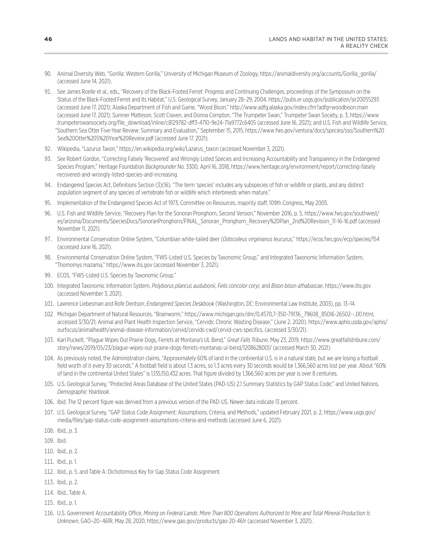- <span id="page-48-0"></span>[90](#page-22-0). Animal Diversity Web, "Gorilla: Western Gorilla," University of Michigan Museum of Zoology, https://animaldiversity.org/accounts/Gorilla\_gorilla/ (accessed June 14, 2021).
- [91](#page-22-0). See James Roelle et al., eds., "Recovery of the Black-Footed Ferret: Progress and Continuing Challenges, proceedings of the Symposium on the Status of the Black-Footed Ferret and Its Habitat," U.S. Geological Survey, January 28–29, 2004, https://pubs.er.usgs.gov/publication/sir20055293 (accessed June 17, 2021); Alaska Department of Fish and Game, "Wood Bison," http://www.adfg.alaska.gov/index.cfm?adfg=woodbison.main (accessed June 17, 2021); Sumner Matteson, Scott Craven, and Donna Compton, "The Trumpeter Swan," Trumpeter Swan Society, p. 3, https://www .trumpeterswansociety.org/file\_download/inline/c8129782-dff3-4710-9e24-71a9772c6405 (accessed June 16, 2021); and U.S. Fish and Wildlife Service, "Southern Sea Otter Five-Year Review: Summary and Evaluation," September 15, 2015, https://www.fws.gov/ventura/docs/species/sso/Southern%20 Sea%20Otter%205%20Year%20Review.pdf (accessed June 17, 2021).
- [92](#page-22-0). Wikipedia, "Lazurus Taxon," https://en.wikipedia.org/wiki/Lazarus\_taxon (accessed November 3, 2021).
- [93](#page-22-0). See Robert Gordon, "Correcting Falsely 'Recovered' and Wrongly Listed Species and Increasing Accountability and Transparency in the Endangered Species Program," Heritage Foundation *Backgrounder* No. 3300, April 16, 2018, https://www.heritage.org/environment/report/correcting-falsely -recovered-and-wrongly-listed-species-and-increasing.
- [94](#page-22-0). Endangered Species Act, Definitions Section (3)(16). "The term 'species' includes any subspecies of fish or wildlife or plants, and any distinct population segment of any species of vertebrate fish or wildlife which interbreeds when mature."
- [95](#page-22-0). Implementation of the Endangered Species Act of 1973, Committee on Resources, majority staff, 109th Congress, May 2005.
- [96](#page-23-0). U.S. Fish and Wildlife Service, "Recovery Plan for the Sonoran Pronghorn, Second Version," November 2016, p. 5, https://www.fws.gov/southwest/ es/arizona/Documents/SpeciesDocs/SonoranPronghorn/FINAL\_Sonoran\_Pronghorn\_Recovery%20Plan\_2nd%20Revision\_11-16-16.pdf (accessed November 11, 2021).
- [97](#page-23-0). Environmental Conservation Online System, "Columbian white-tailed deer (*Odocoileus virginianus leucurus*," https://ecos.fws.gov/ecp/species/154 (accessed June 16, 2021).
- [98](#page-23-0). Environmental Conservation Online System, "FWS-Listed U.S. Species by Taxonomic Group," and Integrated Taxonomic Information System, "Thomomys mazama," https://www.itis.gov (accessed November 3, 2021).
- [99](#page-23-0). ECOS, "FWS-Listed U.S. Species by Taxonomic Group."
- [100.](#page-23-0) Integrated Taxonomic Information System, *Polyborus plancus audubonii*, *Felis concolor coryi*, and *Bison bison athabascae*, https://www.itis.gov (accessed November 3, 2021).
- [101.](#page-23-0) Lawrence Liebesman and Rofe Dentson, *Endangered Species Deskbook* (Washington, DC: Environmental Law Institute, 2003), pp. 13–14.
- [102.](#page-23-0) Michigan Department of Natural Resources, "Brainworm," https://www.michigan.gov/dnr/0,4570,7-350-79136\_79608\_85016-26502--,00.html, accessed 3/30/21; Animal and Plant Health Inspection Service, "Cervids: Chronic Wasting Disease," (June 2, 2020). https://www.aphis.usda.gov/aphis/ ourfocus/animalhealth/animal-disease-information/cervid/cervids-cwd/cervid-cws-specifics, (accessed 3/30/21).
- [103.](#page-24-0) Karl Puckett, "Plague Wipes Out Prairie Dogs, Ferrets at Montana's UL Bend," *Great Falls Tribune*, May 23, 2019, https://www.greatfallstribune.com/ story/news/2019/05/23/plague-wipes-out-prairie-dogs-ferrets-montanas-ul-bend/1208628001/ (accessed March 30, 2021).
- [104.](#page-24-0) As previously noted, the Administration claims, "Approximately 60% of land in the continental U.S. is in a natural state, but we are losing a football field worth of it every 30 seconds." A football field is about 1.3 acres, so 1.3 acres every 30 seconds would be 1,366,560 acres lost per year. About "60% of land in the continental United States" is 1,135,150,432 acres. That figure divided by 1,366,560 acres per year is over 8 centuries.
- [105.](#page-24-0) U.S. Geological Survey, "Protected Areas Database of the United States (PAD-US) 2.1 Summary Statistics by GAP Status Code;" and United Nations, *Demographic Yearbook*.
- [106.](#page-24-0) Ibid. The 12 percent figure was derived from a previous version of the PAD-US. Newer data indicate 13 percent.
- [107.](#page-25-0) U.S. Geological Survey, "GAP Status Code Assignment: Assumptions, Criteria, and Methods," updated February 2021, p. 2, https://www.usgs.gov/ media/files/gap-status-code-assignment-assumptions-criteria-and-methods (accessed June 6, 2021).
- [108.](#page-25-0) Ibid., p. 3.
- [109.](#page-25-0) Ibid.
- [110.](#page-25-0) Ibid., p. 2.
- [111.](#page-25-0) Ibid., p. 1.
- [112.](#page-25-0) Ibid., p. 5, and Table A: Dichotomous Key for Gap Status Code Assignment.
- [113.](#page-25-0) Ibid., p. 2.
- [114.](#page-25-0) Ibid., Table A.
- [115.](#page-25-0) Ibid., p. 1.
- [116.](#page-25-0) U.S. Government Accountability Office, *Mining on Federal Lands: More Than 800 Operations Authorized to Mine and Total Mineral Production Is Unknown*, GAO–20–461R, May 28, 2020, https://www.gao.gov/products/gao-20-461r (accessed November 3, 2021).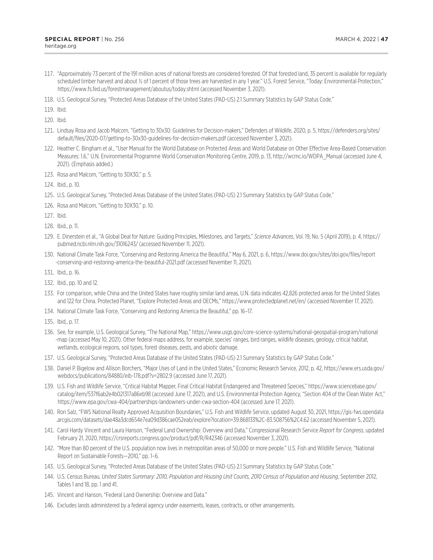- <span id="page-49-0"></span>[117.](#page-25-0) "Approximately 73 percent of the 191 million acres of national forests are considered forested. Of that forested land, 35 percent is available for regularly scheduled timber harvest and about ½ of 1 percent of those trees are harvested in any 1 year." U.S. Forest Service, "Today: Environmental Protection," https://www.fs.fed.us/forestmanagement/aboutus/today.shtml (accessed November 3, 2021).
- [118.](#page-26-0) U.S. Geological Survey, "Protected Areas Database of the United States (PAD-US) 2.1 Summary Statistics by GAP Status Code."

[119.](#page-26-0) Ibid.

[120.](#page-26-0) Ibid.

- [121.](#page-26-0) Lindsay Rosa and Jacob Malcom, "Getting to 30x30: Guidelines for Decision-makers," Defenders of Wildlife, 2020, p. 5, https://defenders.org/sites/ default/files/2020-07/getting-to-30x30-guidelines-for-decision-makers.pdf (accessed November 3, 2021).
- [122.](#page-26-0) Heather C. Bingham et al., "User Manual for the World Database on Protected Areas and World Database on Other Effective Area-Based Conservation Measures: 1.6," U.N. Environmental Programme World Conservation Monitoring Centre, 2019, p. 13, http://wcmc.io/WDPA\_Manual (accessed June 4, 2021). (Emphasis added.)
- [123.](#page-27-0) Rosa and Malcom, "Getting to 30X30," p. 5.
- [124.](#page-27-0) Ibid., p. 10.
- [125.](#page-27-0) U.S. Geological Survey, "Protected Areas Database of the United States (PAD-US) 2.1 Summary Statistics by GAP Status Code."
- [126.](#page-27-0) Rosa and Malcom, "Getting to 30X30," p. 10.
- [127.](#page-27-0) Ibid.
- [128.](#page-27-0) Ibid., p. 11.
- [129.](#page-27-0) E. Dinerstein et al., "A Global Deal for Nature: Guiding Principles, Milestones, and Targets," *Science Advances*, Vol. 19, No. 5 (April 2019), p. 4, https:// pubmed.ncbi.nlm.nih.gov/31016243/ (accessed November 11, 2021).
- [130.](#page-28-0) National Climate Task Force, "Conserving and Restoring America the Beautiful," May 6, 2021, p. 6, https://www.doi.gov/sites/doi.gov/files/report -conserving-and-restoring-america-the-beautiful-2021.pdf (accessed November 11, 2021).
- [131.](#page-28-0) Ibid., p. 16.
- [132.](#page-28-0) Ibid., pp. 10 and 12.
- [133.](#page-28-0) For comparison, while China and the United States have roughly similar land areas, U.N. data indicates 42,826 protected areas for the United States and 122 for China. Protected Planet, "Explore Protected Areas and OECMs," https://www.protectedplanet.net/en/ (accessed November 17, 2021).
- [134.](#page-28-0) National Climate Task Force, "Conserving and Restoring America the Beautiful," pp. 16–17.
- [135.](#page-29-0) Ibid., p. 17.
- [136.](#page-29-0) See, for example, U.S. Geological Survey, "The National Map," https://www.usgs.gov/core-science-systems/national-geospatial-program/national -map (accessed May 10, 2021). Other federal maps address, for example, species' ranges, bird ranges, wildlife diseases, geology, critical habitat, wetlands, ecological regions, soil types, forest diseases, pests, and abiotic damage.
- [137.](#page-29-0) U.S. Geological Survey, "Protected Areas Database of the United States (PAD-US) 2.1 Summary Statistics by GAP Status Code."
- [138.](#page-29-0) Daniel P. Bigelow and Allison Borchers, "Major Uses of Land in the United States," Economic Research Service, 2012, p. 42, https://www.ers.usda.gov/ webdocs/publications/84880/eib-178.pdf?v=2802.9 (accessed June 17, 2021).
- [139.](#page-29-0) U.S. Fish and Wildlife Service, "Critical Habitat Mapper, Final Critical Habitat Endangered and Threatened Species," https://www.sciencebase.gov/ catalog/item/537f6ab2e4b021317a86eb98 (accessed June 17, 2021), and U.S. Environmental Protection Agency, "Section 404 of the Clean Water Act," https://www.epa.gov/cwa-404/partnerships-landowners-under-cwa-section-404 (accessed June 17, 2021).
- [140.](#page-29-0) Ron Salz, "FWS National Realty Approved Acquisition Boundaries," U.S. Fish and Wildlife Service, updated August 30, 2021, https://gis-fws.opendata .arcgis.com/datasets/dae48a3dcd654e7ea09d386cae052eab/explore?location=39.868133%2C-83.508756%2C4.62 (accessed November 5, 2021).
- [141.](#page-30-0) Carol Hardy Vincent and Laura Hanson, "Federal Land Ownership: Overview and Data," Congressional Research Service *Report for Congress*, updated February 21, 2020, https://crsreports.congress.gov/product/pdf/R/R42346 (accessed November 3, 2021).
- [142.](#page-31-0) "More than 80 percent of the U.S. population now lives in metropolitan areas of 50,000 or more people." U.S. Fish and Wildlife Service, "National Report on Sustainable Forests—2010," pp. 1–6.
- [143.](#page-32-0) U.S. Geological Survey, "Protected Areas Database of the United States (PAD-US) 2.1 Summary Statistics by GAP Status Code."
- [144.](#page-32-0) U.S. Census Bureau, *United States Summary: 2010, Population and Housing Unit Counts, 2010 Census of Population and Housing*, September 2012, Tables 1 and 18, pp. 1 and 41.
- [145.](#page-32-0) Vincent and Hanson, "Federal Land Ownership: Overview and Data."
- [146.](#page-32-0) Excludes lands administered by a federal agency under easements, leases, contracts, or other arrangements.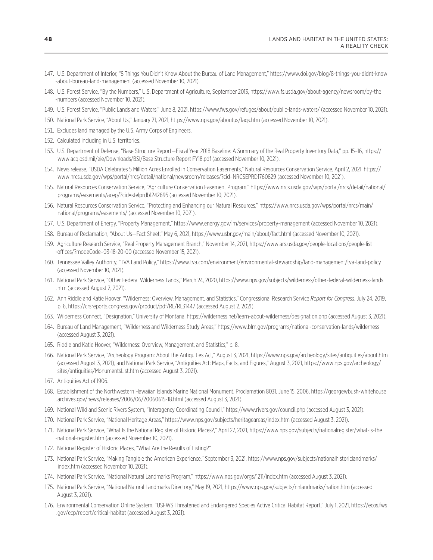- <span id="page-50-0"></span>[147.](#page-32-0) U.S. Department of Interior, "8 Things You Didn't Know About the Bureau of Land Management," https://www.doi.gov/blog/8-things-you-didnt-know -about-bureau-land-management (accessed November 10, 2021).
- [148.](#page-33-0) U.S. Forest Service, "By the Numbers," U.S. Department of Agriculture, September 2013, https://www.fs.usda.gov/about-agency/newsroom/by-the -numbers (accessed November 10, 2021).
- [149.](#page-33-0) U.S. Forest Service, "Public Lands and Waters," June 8, 2021, https://www.fws.gov/refuges/about/public-lands-waters/ (accessed November 10, 2021).
- [150.](#page-33-0) National Park Service, "About Us," January 21, 2021, https://www.nps.gov/aboutus/faqs.htm (accessed November 10, 2021).
- [151.](#page-33-0) Excludes land managed by the U.S. Army Corps of Engineers.
- [152.](#page-33-0) Calculated including in U.S. territories.
- [153.](#page-33-0) U.S. Department of Defense, "Base Structure Report—Fiscal Year 2018 Baseline: A Summary of the Real Property Inventory Data," pp. 15–16, https:// www.acq.osd.mil/eie/Downloads/BSI/Base Structure Report FY18.pdf (accessed November 10, 2021).
- [154.](#page-34-0) News release, "USDA Celebrates 5 Million Acres Enrolled in Conservation Easements," Natural Resources Conservation Service, April 2, 2021, https:// www.nrcs.usda.gov/wps/portal/nrcs/detail/national/newsroom/releases/?cid=NRCSEPRD1760829 (accessed November 10, 2021).
- [155.](#page-34-0) Natural Resources Conservation Service, "Agriculture Conservation Easement Program," https://www.nrcs.usda.gov/wps/portal/nrcs/detail/national/ programs/easements/acep/?cid=stelprdb1242695 (accessed November 10, 2021).
- [156.](#page-34-0) Natural Resources Conservation Service, "Protecting and Enhancing our Natural Resources," https://www.nrcs.usda.gov/wps/portal/nrcs/main/ national/programs/easements/ (accessed November 10, 2021).
- [157.](#page-34-0) U.S. Department of Energy, "Property Management," https://www.energy.gov/lm/services/property-management (accessed November 10, 2021).
- [158.](#page-34-0) Bureau of Reclamation, "About Us—Fact Sheet," May 6, 2021, https://www.usbr.gov/main/about/fact.html (accessed November 10, 2021).
- [159.](#page-35-0) Agriculture Research Service, "Real Property Management Branch," November 14, 2021, https://www.ars.usda.gov/people-locations/people-list -offices/?modeCode=03-18-20-00 (accessed November 15, 2021).
- [160.](#page-35-0) Tennessee Valley Authority, "TVA Land Policy," https://www.tva.com/environment/environmental-stewardship/land-management/tva-land-policy (accessed November 10, 2021).
- [161.](#page-37-0) National Park Service, "Other Federal Wilderness Lands," March 24, 2020, https://www.nps.gov/subjects/wilderness/other-federal-wilderness-lands .htm (accessed August 2, 2021).
- [162.](#page-37-0) Ann Riddle and Katie Hoover, "Wilderness: Overview, Management, and Statistics," Congressional Research Service *Report for Congress*, July 24, 2019, p. 6, https://crsreports.congress.gov/product/pdf/RL/RL31447 (accessed August 2, 2021).
- [163.](#page-38-0) Wilderness Connect, "Designation," University of Montana, https://wilderness.net/learn-about-wilderness/designation.php (accessed August 3, 2021).
- [164.](#page-38-0) Bureau of Land Management, "Wilderness and Wilderness Study Areas," https://www.blm.gov/programs/national-conservation-lands/wilderness (accessed August 3, 2021).
- [165.](#page-38-0) Riddle and Katie Hoover, "Wilderness: Overview, Management, and Statistics," p. 8.
- [166.](#page-38-0) National Park Service, "Archeology Program: About the Antiquities Act," August 3, 2021, https://www.nps.gov/archeology/sites/antiquities/about.htm (accessed August 3, 2021), and National Park Service, "Antiquities Act: Maps, Facts, and Figures," August 3, 2021, https://www.nps.gov/archeology/ sites/antiquities/MonumentsList.htm (accessed August 3, 2021).
- [167.](#page-38-0) Antiquities Act of 1906.
- [168.](#page-38-0) Establishment of the Northwestern Hawaiian Islands Marine National Monument, Proclamation 8031, June 15, 2006, https://georgewbush-whitehouse .archives.gov/news/releases/2006/06/20060615-18.html (accessed August 3, 2021).
- [169.](#page-38-0) National Wild and Scenic Rivers System, "Interagency Coordinating Council," https://www.rivers.gov/council.php (accessed August 3, 2021).
- [170.](#page-39-0) National Park Service, "National Heritage Areas," https://www.nps.gov/subjects/heritageareas/index.htm (accessed August 3, 2021).
- [171.](#page-39-0) National Park Service, "What Is the National Register of Historic Places?," April 27, 2021, https://www.nps.gov/subjects/nationalregister/what-is-the -national-register.htm (accessed November 10, 2021).
- [172.](#page-39-0) National Register of Historic Places, "What Are the Results of Listing?"
- [173.](#page-39-0) National Park Service, "Making Tangible the American Experience," September 3, 2021, https://www.nps.gov/subjects/nationalhistoriclandmarks/ index.htm (accessed November 10, 2021).
- [174.](#page-39-0) National Park Service, "National Natural Landmarks Program," https://www.nps.gov/orgs/1211/index.htm (accessed August 3, 2021).
- [175.](#page-39-0) National Park Service, "National Natural Landmarks Directory," May 19, 2021, https://www.nps.gov/subjects/nnlandmarks/nation.htm (accessed August 3, 2021).
- [176.](#page-40-0) Environmental Conservation Online System, "USFWS Threatened and Endangered Species Active Critical Habitat Report," July 1, 2021, https://ecos.fws .gov/ecp/report/critical-habitat (accessed August 3, 2021).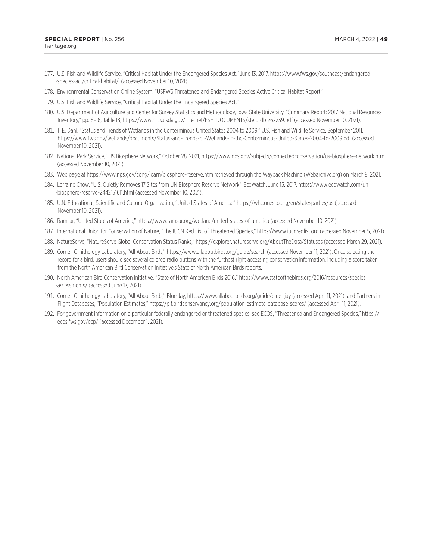- <span id="page-51-0"></span>[177.](#page-40-0) U.S. Fish and Wildlife Service, "Critical Habitat Under the Endangered Species Act," June 13, 2017, https://www.fws.gov/southeast/endangered -species-act/critical-habitat/ (accessed November 10, 2021).
- [178.](#page-40-0) Environmental Conservation Online System, "USFWS Threatened and Endangered Species Active Critical Habitat Report."
- [179.](#page-40-0) U.S. Fish and Wildlife Service, "Critical Habitat Under the Endangered Species Act."
- [180.](#page-40-0) U.S. Department of Agriculture and Center for Survey Statistics and Methodology, Iowa State University, "Summary Report: 2017 National Resources Inventory," pp. 6–16, Table 18, https://www.nrcs.usda.gov/Internet/FSE\_DOCUMENTS/stelprdb1262239.pdf (accessed November 10, 2021).
- [181.](#page-40-0) T. E. Dahl, "Status and Trends of Wetlands in the Conterminous United States 2004 to 2009," U.S. Fish and Wildlife Service, September 2011, https://www.fws.gov/wetlands/documents/Status-and-Trends-of-Wetlands-in-the-Conterminous-United-States-2004-to-2009.pdf (accessed November 10, 2021).
- [182.](#page-40-0) National Park Service, "US Biosphere Network," October 28, 2021, https://www.nps.gov/subjects/connectedconservation/us-biosphere-network.htm (accessed November 10, 2021).
- [183.](#page-41-0) Web page at https://www.nps.gov/cong/learn/biosphere-reserve.htm retrieved through the Wayback Machine (Webarchive.org) on March 8, 2021.
- [184.](#page-41-0) Lorraine Chow, "U.S. Quietly Removes 17 Sites from UN Biosphere Reserve Network," EcoWatch, June 15, 2017, https://www.ecowatch.com/un -biosphere-reserve-2442151611.html (accessed November 10, 2021).
- [185.](#page-41-0) U.N. Educational, Scientific and Cultural Organization, "United States of America," https://whc.unesco.org/en/statesparties/us (accessed November 10, 2021).
- [186.](#page-41-0) Ramsar, "United States of America," https://www.ramsar.org/wetland/united-states-of-america (accessed November 10, 2021).
- [187.](#page-42-0) International Union for Conservation of Nature, "The IUCN Red List of Threatened Species," https://www.iucnredlist.org (accessed November 5, 2021).
- [188.](#page-42-0) NatureServe, "NatureServe Global Conservation Status Ranks," https://explorer.natureserve.org/AboutTheData/Statuses (accessed March 29, 2021).
- [189.](#page-42-0) Cornell Ornithology Laboratory, "All About Birds," https://www.allaboutbirds.org/guide/search (accessed November 11, 2021). Once selecting the record for a bird, users should see several colored radio buttons with the furthest right accessing conservation information, including a score taken from the North American Bird Conservation Initiative's State of North American Birds reports.
- [190.](#page-43-0) North American Bird Conservation Initiative, "State of North American Birds 2016," https://www.stateofthebirds.org/2016/resources/species -assessments/ (accessed June 17, 2021).
- [191.](#page-43-0) Cornell Ornithology Laboratory, "All About Birds," Blue Jay, https://www.allaboutbirds.org/guide/blue\_jay (accessed April 11, 2021), and Partners in Flight Databases, "Population Estimates," https://pif.birdconservancy.org/population-estimate-database-scores/ (accessed April 11, 2021).
- [192.](#page-43-0) For government information on a particular federally endangered or threatened species, see ECOS, "Threatened and Endangered Species," https:// ecos.fws.gov/ecp/ (accessed December 1, 2021).